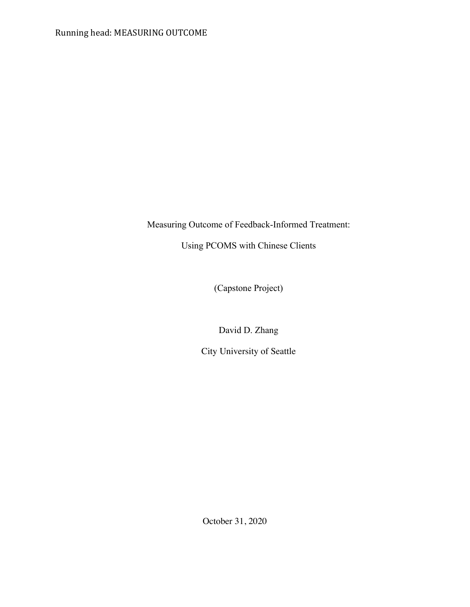Measuring Outcome of Feedback-Informed Treatment:

Using PCOMS with Chinese Clients

(Capstone Project)

David D. Zhang

City University of Seattle

October 31, 2020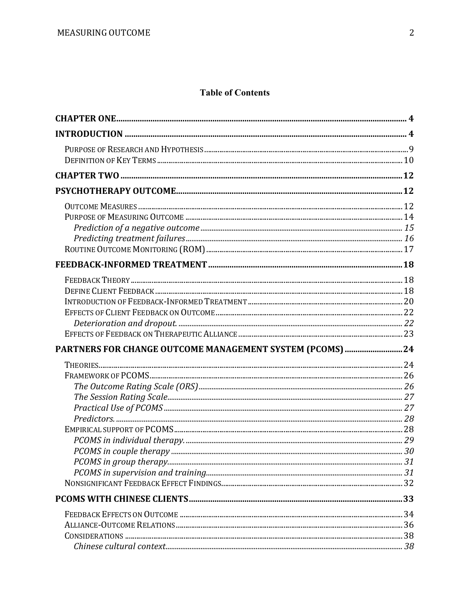# **Table of Contents**

| PARTNERS FOR CHANGE OUTCOME MANAGEMENT SYSTEM (PCOMS)  24 |  |
|-----------------------------------------------------------|--|
|                                                           |  |
|                                                           |  |
|                                                           |  |
|                                                           |  |
|                                                           |  |
|                                                           |  |
|                                                           |  |
|                                                           |  |
|                                                           |  |
|                                                           |  |
|                                                           |  |
|                                                           |  |
|                                                           |  |
|                                                           |  |
|                                                           |  |
|                                                           |  |
|                                                           |  |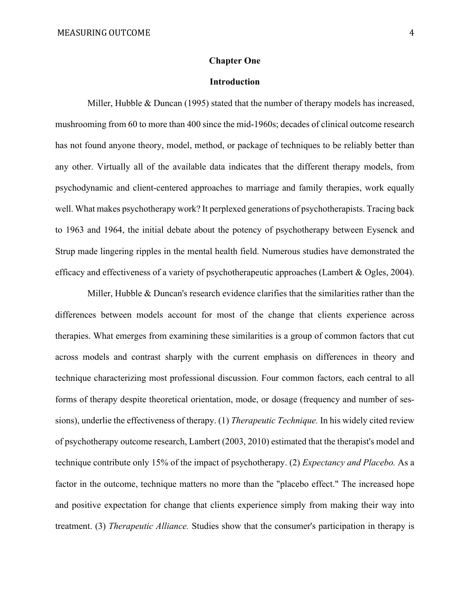#### **Chapter One**

# **Introduction**

 Miller, Hubble & Duncan (1995) stated that the number of therapy models has increased, mushrooming from 60 to more than 400 since the mid-1960s; decades of clinical outcome research has not found anyone theory, model, method, or package of techniques to be reliably better than any other. Virtually all of the available data indicates that the different therapy models, from psychodynamic and client-centered approaches to marriage and family therapies, work equally well. What makes psychotherapy work? It perplexed generations of psychotherapists. Tracing back to 1963 and 1964, the initial debate about the potency of psychotherapy between Eysenck and Strup made lingering ripples in the mental health field. Numerous studies have demonstrated the efficacy and effectiveness of a variety of psychotherapeutic approaches (Lambert & Ogles, 2004).

 Miller, Hubble & Duncan's research evidence clarifies that the similarities rather than the differences between models account for most of the change that clients experience across therapies. What emerges from examining these similarities is a group of common factors that cut across models and contrast sharply with the current emphasis on differences in theory and technique characterizing most professional discussion. Four common factors, each central to all forms of therapy despite theoretical orientation, mode, or dosage (frequency and number of sessions), underlie the effectiveness of therapy. (1) *Therapeutic Technique.* In his widely cited review of psychotherapy outcome research, Lambert (2003, 2010) estimated that the therapist's model and technique contribute only 15% of the impact of psychotherapy. (2) *Expectancy and Placebo.* As a factor in the outcome, technique matters no more than the "placebo effect." The increased hope and positive expectation for change that clients experience simply from making their way into treatment. (3) *Therapeutic Alliance.* Studies show that the consumer's participation in therapy is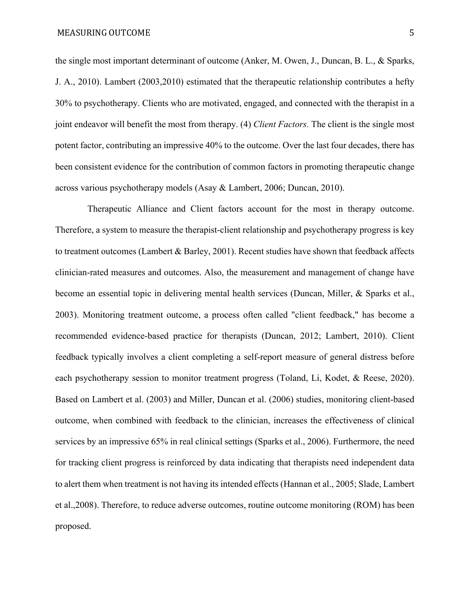the single most important determinant of outcome (Anker, M. Owen, J., Duncan, B. L., & Sparks, J. A., 2010). Lambert (2003,2010) estimated that the therapeutic relationship contributes a hefty 30% to psychotherapy. Clients who are motivated, engaged, and connected with the therapist in a joint endeavor will benefit the most from therapy. (4) *Client Factors.* The client is the single most potent factor, contributing an impressive 40% to the outcome. Over the last four decades, there has been consistent evidence for the contribution of common factors in promoting therapeutic change across various psychotherapy models (Asay & Lambert, 2006; Duncan, 2010).

 Therapeutic Alliance and Client factors account for the most in therapy outcome. Therefore, a system to measure the therapist-client relationship and psychotherapy progress is key to treatment outcomes (Lambert & Barley, 2001). Recent studies have shown that feedback affects clinician-rated measures and outcomes. Also, the measurement and management of change have become an essential topic in delivering mental health services (Duncan, Miller, & Sparks et al., 2003). Monitoring treatment outcome, a process often called "client feedback," has become a recommended evidence-based practice for therapists (Duncan, 2012; Lambert, 2010). Client feedback typically involves a client completing a self-report measure of general distress before each psychotherapy session to monitor treatment progress (Toland, Li, Kodet, & Reese, 2020). Based on Lambert et al. (2003) and Miller, Duncan et al. (2006) studies, monitoring client-based outcome, when combined with feedback to the clinician, increases the effectiveness of clinical services by an impressive 65% in real clinical settings (Sparks et al., 2006). Furthermore, the need for tracking client progress is reinforced by data indicating that therapists need independent data to alert them when treatment is not having its intended effects (Hannan et al., 2005; Slade, Lambert et al.,2008). Therefore, to reduce adverse outcomes, routine outcome monitoring (ROM) has been proposed.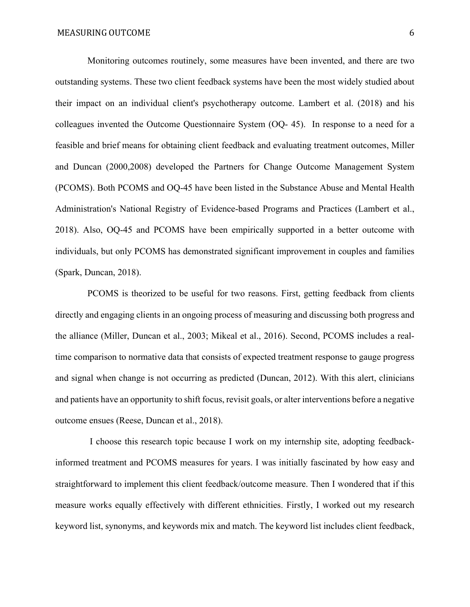Monitoring outcomes routinely, some measures have been invented, and there are two outstanding systems. These two client feedback systems have been the most widely studied about their impact on an individual client's psychotherapy outcome. Lambert et al. (2018) and his colleagues invented the Outcome Questionnaire System (OQ- 45). In response to a need for a feasible and brief means for obtaining client feedback and evaluating treatment outcomes, Miller and Duncan (2000,2008) developed the Partners for Change Outcome Management System (PCOMS). Both PCOMS and OQ-45 have been listed in the Substance Abuse and Mental Health Administration's National Registry of Evidence-based Programs and Practices (Lambert et al., 2018). Also, OQ-45 and PCOMS have been empirically supported in a better outcome with individuals, but only PCOMS has demonstrated significant improvement in couples and families (Spark, Duncan, 2018).

 PCOMS is theorized to be useful for two reasons. First, getting feedback from clients directly and engaging clients in an ongoing process of measuring and discussing both progress and the alliance (Miller, Duncan et al., 2003; Mikeal et al., 2016). Second, PCOMS includes a realtime comparison to normative data that consists of expected treatment response to gauge progress and signal when change is not occurring as predicted (Duncan, 2012). With this alert, clinicians and patients have an opportunity to shift focus, revisit goals, or alter interventions before a negative outcome ensues (Reese, Duncan et al., 2018).

 I choose this research topic because I work on my internship site, adopting feedbackinformed treatment and PCOMS measures for years. I was initially fascinated by how easy and straightforward to implement this client feedback/outcome measure. Then I wondered that if this measure works equally effectively with different ethnicities. Firstly, I worked out my research keyword list, synonyms, and keywords mix and match. The keyword list includes client feedback,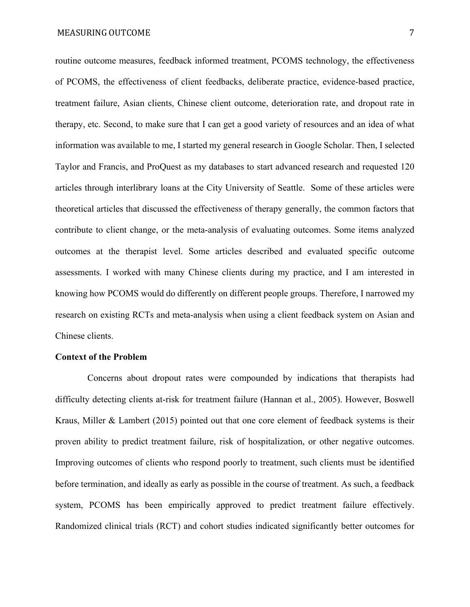routine outcome measures, feedback informed treatment, PCOMS technology, the effectiveness of PCOMS, the effectiveness of client feedbacks, deliberate practice, evidence-based practice, treatment failure, Asian clients, Chinese client outcome, deterioration rate, and dropout rate in therapy, etc. Second, to make sure that I can get a good variety of resources and an idea of what information was available to me, I started my general research in Google Scholar. Then, I selected Taylor and Francis, and ProQuest as my databases to start advanced research and requested 120 articles through interlibrary loans at the City University of Seattle. Some of these articles were theoretical articles that discussed the effectiveness of therapy generally, the common factors that contribute to client change, or the meta-analysis of evaluating outcomes. Some items analyzed outcomes at the therapist level. Some articles described and evaluated specific outcome assessments. I worked with many Chinese clients during my practice, and I am interested in knowing how PCOMS would do differently on different people groups. Therefore, I narrowed my research on existing RCTs and meta-analysis when using a client feedback system on Asian and Chinese clients.

## **Context of the Problem**

 Concerns about dropout rates were compounded by indications that therapists had difficulty detecting clients at-risk for treatment failure (Hannan et al., 2005). However, Boswell Kraus, Miller & Lambert (2015) pointed out that one core element of feedback systems is their proven ability to predict treatment failure, risk of hospitalization, or other negative outcomes. Improving outcomes of clients who respond poorly to treatment, such clients must be identified before termination, and ideally as early as possible in the course of treatment. As such, a feedback system, PCOMS has been empirically approved to predict treatment failure effectively. Randomized clinical trials (RCT) and cohort studies indicated significantly better outcomes for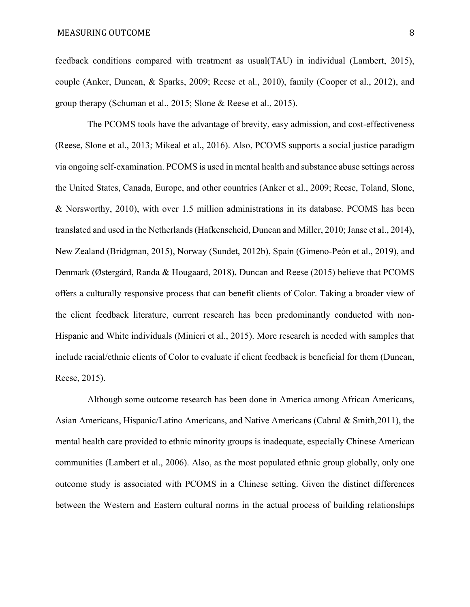feedback conditions compared with treatment as usual(TAU) in individual (Lambert, 2015), couple (Anker, Duncan, & Sparks, 2009; Reese et al., 2010), family (Cooper et al., 2012), and group therapy (Schuman et al., 2015; Slone & Reese et al., 2015).

 The PCOMS tools have the advantage of brevity, easy admission, and cost-effectiveness (Reese, Slone et al., 2013; Mikeal et al., 2016). Also, PCOMS supports a social justice paradigm via ongoing self-examination. PCOMS is used in mental health and substance abuse settings across the United States, Canada, Europe, and other countries (Anker et al., 2009; Reese, Toland, Slone, & Norsworthy, 2010), with over 1.5 million administrations in its database. PCOMS has been translated and used in the Netherlands (Hafkenscheid, Duncan and Miller, 2010; Janse et al., 2014), New Zealand (Bridgman, 2015), Norway (Sundet, 2012b), Spain (Gimeno-Peón et al., 2019), and Denmark (Østergård, Randa & Hougaard, 2018)**.** Duncan and Reese (2015) believe that PCOMS offers a culturally responsive process that can benefit clients of Color. Taking a broader view of the client feedback literature, current research has been predominantly conducted with non-Hispanic and White individuals (Minieri et al., 2015). More research is needed with samples that include racial/ethnic clients of Color to evaluate if client feedback is beneficial for them (Duncan, Reese, 2015).

 Although some outcome research has been done in America among African Americans, Asian Americans, Hispanic/Latino Americans, and Native Americans (Cabral & Smith,2011), the mental health care provided to ethnic minority groups is inadequate, especially Chinese American communities (Lambert et al., 2006). Also, as the most populated ethnic group globally, only one outcome study is associated with PCOMS in a Chinese setting. Given the distinct differences between the Western and Eastern cultural norms in the actual process of building relationships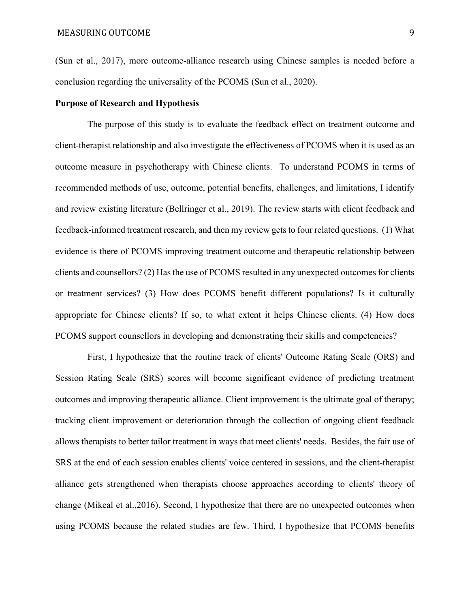(Sun et al., 2017), more outcome-alliance research using Chinese samples is needed before a conclusion regarding the universality of the PCOMS (Sun et al., 2020).

#### **Purpose of Research and Hypothesis**

 The purpose of this study is to evaluate the feedback effect on treatment outcome and client-therapist relationship and also investigate the effectiveness of PCOMS when it is used as an outcome measure in psychotherapy with Chinese clients. To understand PCOMS in terms of recommended methods of use, outcome, potential benefits, challenges, and limitations, I identify and review existing literature (Bellringer et al., 2019). The review starts with client feedback and feedback-informed treatment research, and then my review gets to four related questions. (1) What evidence is there of PCOMS improving treatment outcome and therapeutic relationship between clients and counsellors? (2) Has the use of PCOMS resulted in any unexpected outcomes for clients or treatment services? (3) How does PCOMS benefit different populations? Is it culturally appropriate for Chinese clients? If so, to what extent it helps Chinese clients. (4) How does PCOMS support counsellors in developing and demonstrating their skills and competencies?

 First, I hypothesize that the routine track of clients' Outcome Rating Scale (ORS) and Session Rating Scale (SRS) scores will become significant evidence of predicting treatment outcomes and improving therapeutic alliance. Client improvement is the ultimate goal of therapy; tracking client improvement or deterioration through the collection of ongoing client feedback allows therapists to better tailor treatment in ways that meet clients' needs. Besides, the fair use of SRS at the end of each session enables clients' voice centered in sessions, and the client-therapist alliance gets strengthened when therapists choose approaches according to clients' theory of change (Mikeal et al.,2016). Second, I hypothesize that there are no unexpected outcomes when using PCOMS because the related studies are few. Third, I hypothesize that PCOMS benefits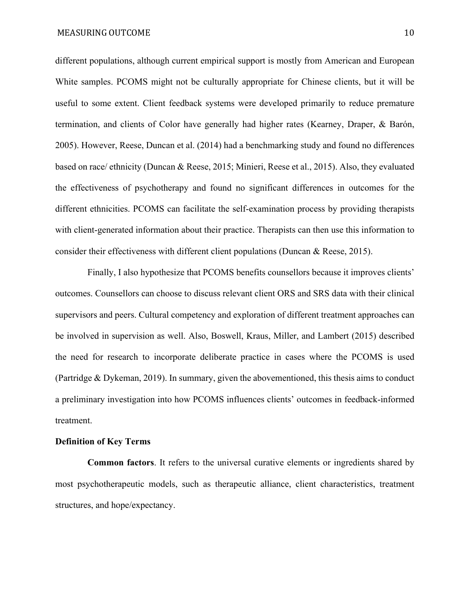different populations, although current empirical support is mostly from American and European White samples. PCOMS might not be culturally appropriate for Chinese clients, but it will be useful to some extent. Client feedback systems were developed primarily to reduce premature termination, and clients of Color have generally had higher rates (Kearney, Draper, & Barón, 2005). However, Reese, Duncan et al. (2014) had a benchmarking study and found no differences based on race/ ethnicity (Duncan & Reese, 2015; Minieri, Reese et al., 2015). Also, they evaluated the effectiveness of psychotherapy and found no significant differences in outcomes for the different ethnicities. PCOMS can facilitate the self-examination process by providing therapists with client-generated information about their practice. Therapists can then use this information to consider their effectiveness with different client populations (Duncan & Reese, 2015).

 Finally, I also hypothesize that PCOMS benefits counsellors because it improves clients' outcomes. Counsellors can choose to discuss relevant client ORS and SRS data with their clinical supervisors and peers. Cultural competency and exploration of different treatment approaches can be involved in supervision as well. Also, Boswell, Kraus, Miller, and Lambert (2015) described the need for research to incorporate deliberate practice in cases where the PCOMS is used (Partridge & Dykeman, 2019). In summary, given the abovementioned, this thesis aims to conduct a preliminary investigation into how PCOMS influences clients' outcomes in feedback-informed treatment.

## **Definition of Key Terms**

 **Common factors**. It refers to the universal curative elements or ingredients shared by most psychotherapeutic models, such as therapeutic alliance, client characteristics, treatment structures, and hope/expectancy.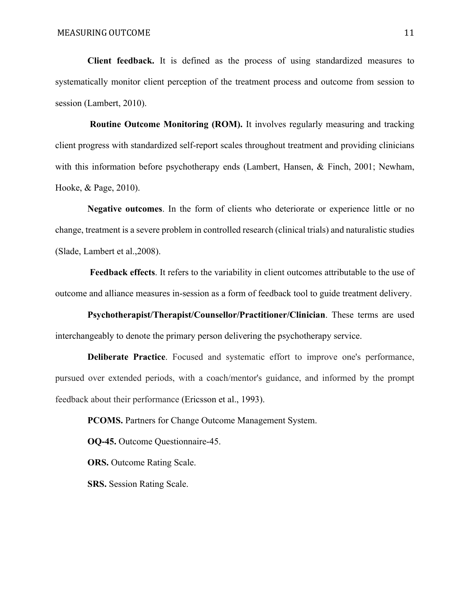**Client feedback.** It is defined as the process of using standardized measures to systematically monitor client perception of the treatment process and outcome from session to session (Lambert, 2010).

**Routine Outcome Monitoring (ROM).** It involves regularly measuring and tracking client progress with standardized self-report scales throughout treatment and providing clinicians with this information before psychotherapy ends (Lambert, Hansen, & Finch, 2001; Newham, Hooke, & Page, 2010).

 **Negative outcomes**. In the form of clients who deteriorate or experience little or no change, treatment is a severe problem in controlled research (clinical trials) and naturalistic studies (Slade, Lambert et al.,2008).

 **Feedback effects**. It refers to the variability in client outcomes attributable to the use of outcome and alliance measures in-session as a form of feedback tool to guide treatment delivery.

 **Psychotherapist/Therapist/Counsellor/Practitioner/Clinician**. These terms are used interchangeably to denote the primary person delivering the psychotherapy service.

 **Deliberate Practice**. Focused and systematic effort to improve one's performance, pursued over extended periods, with a coach/mentor's guidance, and informed by the prompt feedback about their performance (Ericsson et al., 1993).

**PCOMS.** Partners for Change Outcome Management System.

**OQ-45.** Outcome Questionnaire-45.

**ORS.** Outcome Rating Scale.

 **SRS.** Session Rating Scale.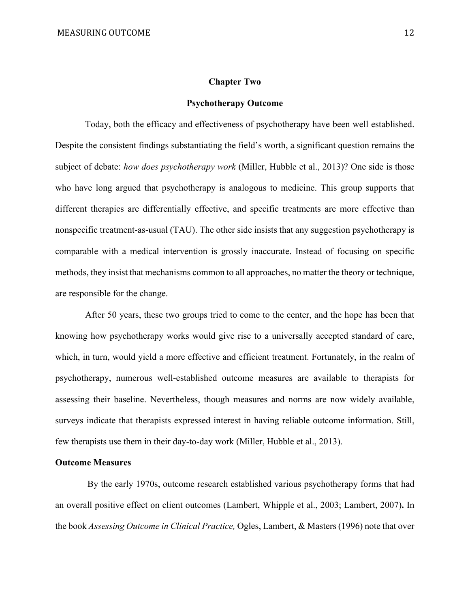# **Chapter Two**

#### **Psychotherapy Outcome**

 Today, both the efficacy and effectiveness of psychotherapy have been well established. Despite the consistent findings substantiating the field's worth, a significant question remains the subject of debate: *how does psychotherapy work* (Miller, Hubble et al., 2013)? One side is those who have long argued that psychotherapy is analogous to medicine. This group supports that different therapies are differentially effective, and specific treatments are more effective than nonspecific treatment-as-usual (TAU). The other side insists that any suggestion psychotherapy is comparable with a medical intervention is grossly inaccurate. Instead of focusing on specific methods, they insist that mechanisms common to all approaches, no matter the theory or technique, are responsible for the change.

 After 50 years, these two groups tried to come to the center, and the hope has been that knowing how psychotherapy works would give rise to a universally accepted standard of care, which, in turn, would yield a more effective and efficient treatment. Fortunately, in the realm of psychotherapy, numerous well-established outcome measures are available to therapists for assessing their baseline. Nevertheless, though measures and norms are now widely available, surveys indicate that therapists expressed interest in having reliable outcome information. Still, few therapists use them in their day-to-day work (Miller, Hubble et al., 2013).

## **Outcome Measures**

 By the early 1970s, outcome research established various psychotherapy forms that had an overall positive effect on client outcomes (Lambert, Whipple et al., 2003; Lambert, 2007)**.** In the book *Assessing Outcome in Clinical Practice,* Ogles, Lambert, & Masters (1996) note that over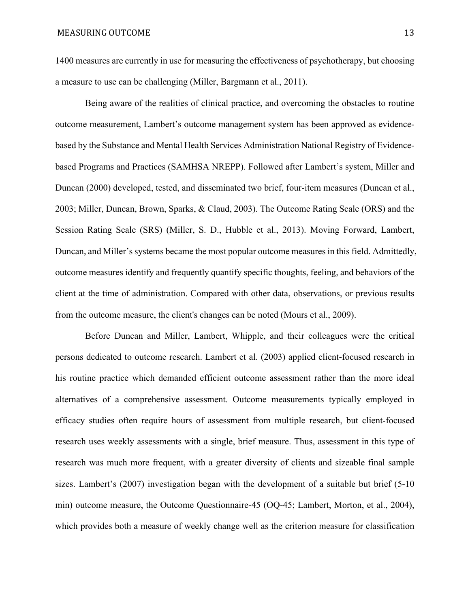1400 measures are currently in use for measuring the effectiveness of psychotherapy, but choosing a measure to use can be challenging (Miller, Bargmann et al., 2011).

 Being aware of the realities of clinical practice, and overcoming the obstacles to routine outcome measurement, Lambert's outcome management system has been approved as evidencebased by the Substance and Mental Health Services Administration National Registry of Evidencebased Programs and Practices (SAMHSA NREPP). Followed after Lambert's system, Miller and Duncan (2000) developed, tested, and disseminated two brief, four-item measures (Duncan et al., 2003; Miller, Duncan, Brown, Sparks, & Claud, 2003). The Outcome Rating Scale (ORS) and the Session Rating Scale (SRS) (Miller, S. D., Hubble et al., 2013). Moving Forward, Lambert, Duncan, and Miller's systems became the most popular outcome measures in this field. Admittedly, outcome measures identify and frequently quantify specific thoughts, feeling, and behaviors of the client at the time of administration. Compared with other data, observations, or previous results from the outcome measure, the client's changes can be noted (Mours et al., 2009).

 Before Duncan and Miller, Lambert, Whipple, and their colleagues were the critical persons dedicated to outcome research. Lambert et al. (2003) applied client-focused research in his routine practice which demanded efficient outcome assessment rather than the more ideal alternatives of a comprehensive assessment. Outcome measurements typically employed in efficacy studies often require hours of assessment from multiple research, but client-focused research uses weekly assessments with a single, brief measure. Thus, assessment in this type of research was much more frequent, with a greater diversity of clients and sizeable final sample sizes. Lambert's (2007) investigation began with the development of a suitable but brief (5-10 min) outcome measure, the Outcome Questionnaire-45 (OQ-45; Lambert, Morton, et al., 2004), which provides both a measure of weekly change well as the criterion measure for classification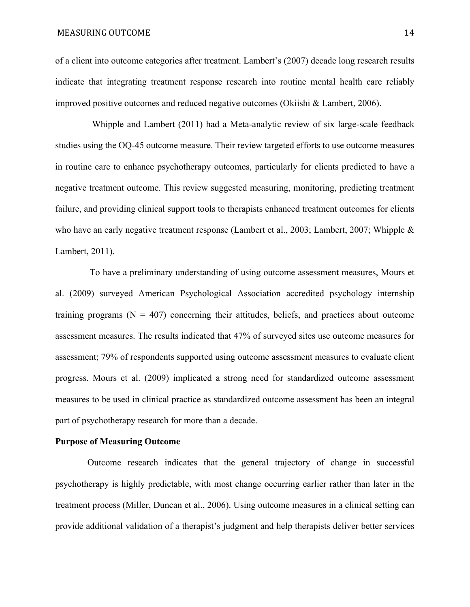#### MEASURING OUTCOME 24

of a client into outcome categories after treatment. Lambert's (2007) decade long research results indicate that integrating treatment response research into routine mental health care reliably improved positive outcomes and reduced negative outcomes (Okiishi & Lambert, 2006).

 Whipple and Lambert (2011) had a Meta-analytic review of six large-scale feedback studies using the OQ-45 outcome measure. Their review targeted efforts to use outcome measures in routine care to enhance psychotherapy outcomes, particularly for clients predicted to have a negative treatment outcome. This review suggested measuring, monitoring, predicting treatment failure, and providing clinical support tools to therapists enhanced treatment outcomes for clients who have an early negative treatment response (Lambert et al., 2003; Lambert, 2007; Whipple & Lambert, 2011).

 To have a preliminary understanding of using outcome assessment measures, Mours et al. (2009) surveyed American Psychological Association accredited psychology internship training programs  $(N = 407)$  concerning their attitudes, beliefs, and practices about outcome assessment measures. The results indicated that 47% of surveyed sites use outcome measures for assessment; 79% of respondents supported using outcome assessment measures to evaluate client progress. Mours et al. (2009) implicated a strong need for standardized outcome assessment measures to be used in clinical practice as standardized outcome assessment has been an integral part of psychotherapy research for more than a decade.

#### **Purpose of Measuring Outcome**

 Outcome research indicates that the general trajectory of change in successful psychotherapy is highly predictable, with most change occurring earlier rather than later in the treatment process (Miller, Duncan et al., 2006). Using outcome measures in a clinical setting can provide additional validation of a therapist's judgment and help therapists deliver better services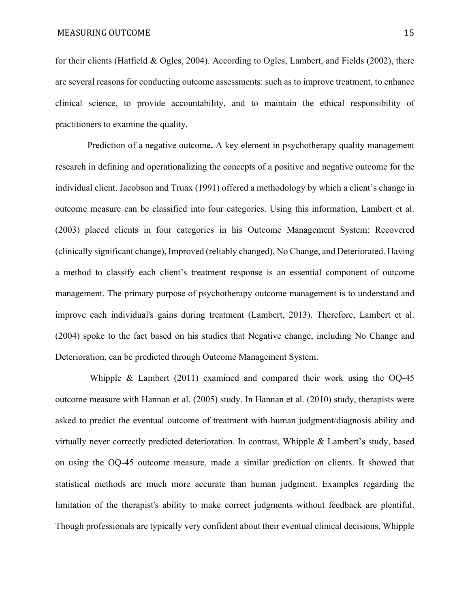for their clients (Hatfield & Ogles, 2004). According to Ogles, Lambert, and Fields (2002), there are several reasons for conducting outcome assessments: such as to improve treatment, to enhance clinical science, to provide accountability, and to maintain the ethical responsibility of practitioners to examine the quality.

 Prediction of a negative outcome**.** A key element in psychotherapy quality management research in defining and operationalizing the concepts of a positive and negative outcome for the individual client. Jacobson and Truax (1991) offered a methodology by which a client's change in outcome measure can be classified into four categories. Using this information, Lambert et al. (2003) placed clients in four categories in his Outcome Management System: Recovered (clinically significant change), Improved (reliably changed), No Change, and Deteriorated. Having a method to classify each client's treatment response is an essential component of outcome management. The primary purpose of psychotherapy outcome management is to understand and improve each individual's gains during treatment (Lambert, 2013). Therefore, Lambert et al. (2004) spoke to the fact based on his studies that Negative change, including No Change and Deterioration, can be predicted through Outcome Management System.

 Whipple & Lambert (2011) examined and compared their work using the OQ-45 outcome measure with Hannan et al. (2005) study. In Hannan et al. (2010) study, therapists were asked to predict the eventual outcome of treatment with human judgment/diagnosis ability and virtually never correctly predicted deterioration. In contrast, Whipple & Lambert's study, based on using the OQ-45 outcome measure, made a similar prediction on clients. It showed that statistical methods are much more accurate than human judgment. Examples regarding the limitation of the therapist's ability to make correct judgments without feedback are plentiful. Though professionals are typically very confident about their eventual clinical decisions, Whipple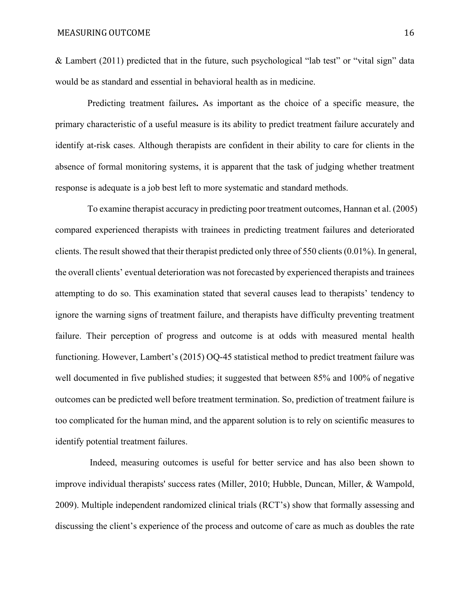& Lambert (2011) predicted that in the future, such psychological "lab test" or "vital sign" data would be as standard and essential in behavioral health as in medicine.

Predicting treatment failures**.** As important as the choice of a specific measure, the primary characteristic of a useful measure is its ability to predict treatment failure accurately and identify at-risk cases. Although therapists are confident in their ability to care for clients in the absence of formal monitoring systems, it is apparent that the task of judging whether treatment response is adequate is a job best left to more systematic and standard methods.

 To examine therapist accuracy in predicting poor treatment outcomes, Hannan et al. (2005) compared experienced therapists with trainees in predicting treatment failures and deteriorated clients. The result showed that their therapist predicted only three of 550 clients (0.01%). In general, the overall clients' eventual deterioration was not forecasted by experienced therapists and trainees attempting to do so. This examination stated that several causes lead to therapists' tendency to ignore the warning signs of treatment failure, and therapists have difficulty preventing treatment failure. Their perception of progress and outcome is at odds with measured mental health functioning. However, Lambert's (2015) OQ-45 statistical method to predict treatment failure was well documented in five published studies; it suggested that between 85% and 100% of negative outcomes can be predicted well before treatment termination. So, prediction of treatment failure is too complicated for the human mind, and the apparent solution is to rely on scientific measures to identify potential treatment failures.

 Indeed, measuring outcomes is useful for better service and has also been shown to improve individual therapists' success rates (Miller, 2010; Hubble, Duncan, Miller, & Wampold, 2009). Multiple independent randomized clinical trials (RCT's) show that formally assessing and discussing the client's experience of the process and outcome of care as much as doubles the rate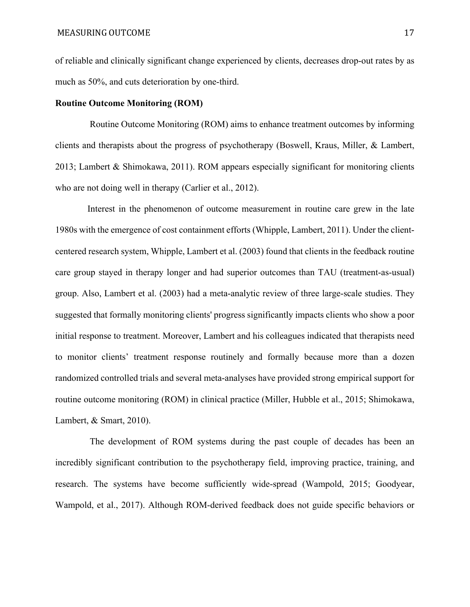of reliable and clinically significant change experienced by clients, decreases drop-out rates by as much as 50%, and cuts deterioration by one-third.

#### **Routine Outcome Monitoring (ROM)**

 Routine Outcome Monitoring (ROM) aims to enhance treatment outcomes by informing clients and therapists about the progress of psychotherapy (Boswell, Kraus, Miller, & Lambert, 2013; Lambert & Shimokawa, 2011). ROM appears especially significant for monitoring clients who are not doing well in therapy (Carlier et al., 2012).

 Interest in the phenomenon of outcome measurement in routine care grew in the late 1980s with the emergence of cost containment efforts (Whipple, Lambert, 2011). Under the clientcentered research system, Whipple, Lambert et al. (2003) found that clients in the feedback routine care group stayed in therapy longer and had superior outcomes than TAU (treatment-as-usual) group. Also, Lambert et al. (2003) had a meta-analytic review of three large-scale studies. They suggested that formally monitoring clients' progress significantly impacts clients who show a poor initial response to treatment. Moreover, Lambert and his colleagues indicated that therapists need to monitor clients' treatment response routinely and formally because more than a dozen randomized controlled trials and several meta-analyses have provided strong empirical support for routine outcome monitoring (ROM) in clinical practice (Miller, Hubble et al., 2015; Shimokawa, Lambert, & Smart, 2010).

 The development of ROM systems during the past couple of decades has been an incredibly significant contribution to the psychotherapy field, improving practice, training, and research. The systems have become sufficiently wide-spread (Wampold, 2015; Goodyear, Wampold, et al., 2017). Although ROM-derived feedback does not guide specific behaviors or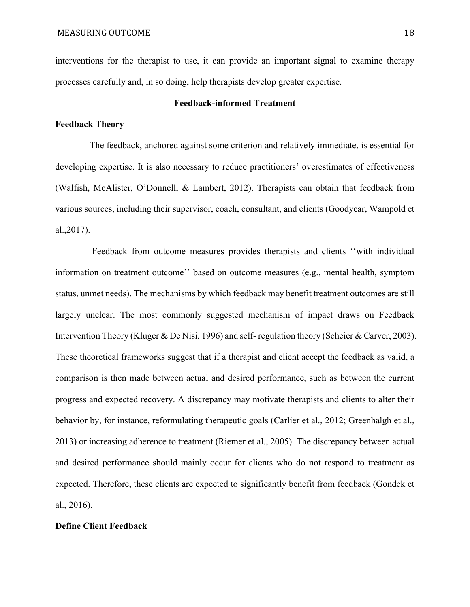interventions for the therapist to use, it can provide an important signal to examine therapy processes carefully and, in so doing, help therapists develop greater expertise.

## **Feedback-informed Treatment**

# **Feedback Theory**

 The feedback, anchored against some criterion and relatively immediate, is essential for developing expertise. It is also necessary to reduce practitioners' overestimates of effectiveness (Walfish, McAlister, O'Donnell, & Lambert, 2012). Therapists can obtain that feedback from various sources, including their supervisor, coach, consultant, and clients (Goodyear, Wampold et al.,2017).

 Feedback from outcome measures provides therapists and clients ''with individual information on treatment outcome'' based on outcome measures (e.g., mental health, symptom status, unmet needs). The mechanisms by which feedback may benefit treatment outcomes are still largely unclear. The most commonly suggested mechanism of impact draws on Feedback Intervention Theory (Kluger & De Nisi, 1996) and self- regulation theory (Scheier & Carver, 2003). These theoretical frameworks suggest that if a therapist and client accept the feedback as valid, a comparison is then made between actual and desired performance, such as between the current progress and expected recovery. A discrepancy may motivate therapists and clients to alter their behavior by, for instance, reformulating therapeutic goals (Carlier et al., 2012; Greenhalgh et al., 2013) or increasing adherence to treatment (Riemer et al., 2005). The discrepancy between actual and desired performance should mainly occur for clients who do not respond to treatment as expected. Therefore, these clients are expected to significantly benefit from feedback (Gondek et al., 2016).

## **Define Client Feedback**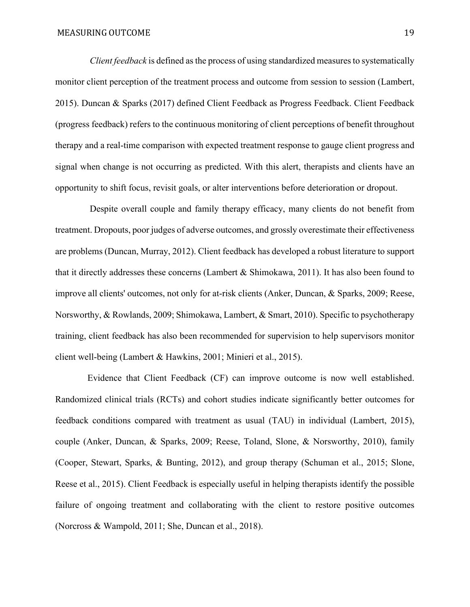*Client feedback* is defined as the process of using standardized measures to systematically monitor client perception of the treatment process and outcome from session to session (Lambert, 2015). Duncan & Sparks (2017) defined Client Feedback as Progress Feedback. Client Feedback (progress feedback) refers to the continuous monitoring of client perceptions of benefit throughout therapy and a real-time comparison with expected treatment response to gauge client progress and signal when change is not occurring as predicted. With this alert, therapists and clients have an opportunity to shift focus, revisit goals, or alter interventions before deterioration or dropout.

 Despite overall couple and family therapy efficacy, many clients do not benefit from treatment. Dropouts, poor judges of adverse outcomes, and grossly overestimate their effectiveness are problems (Duncan, Murray, 2012). Client feedback has developed a robust literature to support that it directly addresses these concerns (Lambert & Shimokawa, 2011). It has also been found to improve all clients' outcomes, not only for at-risk clients (Anker, Duncan, & Sparks, 2009; Reese, Norsworthy, & Rowlands, 2009; Shimokawa, Lambert, & Smart, 2010). Specific to psychotherapy training, client feedback has also been recommended for supervision to help supervisors monitor client well-being (Lambert & Hawkins, 2001; Minieri et al., 2015).

 Evidence that Client Feedback (CF) can improve outcome is now well established. Randomized clinical trials (RCTs) and cohort studies indicate significantly better outcomes for feedback conditions compared with treatment as usual (TAU) in individual (Lambert, 2015), couple (Anker, Duncan, & Sparks, 2009; Reese, Toland, Slone, & Norsworthy, 2010), family (Cooper, Stewart, Sparks, & Bunting, 2012), and group therapy (Schuman et al., 2015; Slone, Reese et al., 2015). Client Feedback is especially useful in helping therapists identify the possible failure of ongoing treatment and collaborating with the client to restore positive outcomes (Norcross & Wampold, 2011; She, Duncan et al., 2018).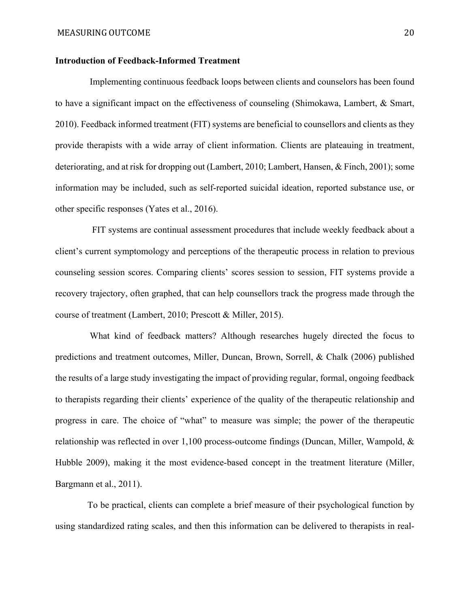## **Introduction of Feedback-Informed Treatment**

 Implementing continuous feedback loops between clients and counselors has been found to have a significant impact on the effectiveness of counseling (Shimokawa, Lambert, & Smart, 2010). Feedback informed treatment (FIT) systems are beneficial to counsellors and clients as they provide therapists with a wide array of client information. Clients are plateauing in treatment, deteriorating, and at risk for dropping out (Lambert, 2010; Lambert, Hansen, & Finch, 2001); some information may be included, such as self-reported suicidal ideation, reported substance use, or other specific responses (Yates et al., 2016).

 FIT systems are continual assessment procedures that include weekly feedback about a client's current symptomology and perceptions of the therapeutic process in relation to previous counseling session scores. Comparing clients' scores session to session, FIT systems provide a recovery trajectory, often graphed, that can help counsellors track the progress made through the course of treatment (Lambert, 2010; Prescott & Miller, 2015).

 What kind of feedback matters? Although researches hugely directed the focus to predictions and treatment outcomes, Miller, Duncan, Brown, Sorrell, & Chalk (2006) published the results of a large study investigating the impact of providing regular, formal, ongoing feedback to therapists regarding their clients' experience of the quality of the therapeutic relationship and progress in care. The choice of "what" to measure was simple; the power of the therapeutic relationship was reflected in over 1,100 process-outcome findings (Duncan, Miller, Wampold, & Hubble 2009), making it the most evidence-based concept in the treatment literature (Miller, Bargmann et al., 2011).

 To be practical, clients can complete a brief measure of their psychological function by using standardized rating scales, and then this information can be delivered to therapists in real-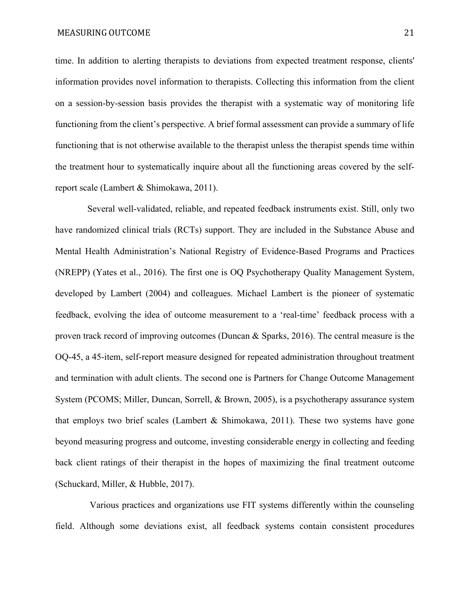time. In addition to alerting therapists to deviations from expected treatment response, clients' information provides novel information to therapists. Collecting this information from the client on a session-by-session basis provides the therapist with a systematic way of monitoring life functioning from the client's perspective. A brief formal assessment can provide a summary of life functioning that is not otherwise available to the therapist unless the therapist spends time within the treatment hour to systematically inquire about all the functioning areas covered by the selfreport scale (Lambert & Shimokawa, 2011).

 Several well-validated, reliable, and repeated feedback instruments exist. Still, only two have randomized clinical trials (RCTs) support. They are included in the Substance Abuse and Mental Health Administration's National Registry of Evidence-Based Programs and Practices (NREPP) (Yates et al., 2016). The first one is OQ Psychotherapy Quality Management System, developed by Lambert (2004) and colleagues. Michael Lambert is the pioneer of systematic feedback, evolving the idea of outcome measurement to a 'real-time' feedback process with a proven track record of improving outcomes (Duncan & Sparks, 2016). The central measure is the OQ-45, a 45-item, self-report measure designed for repeated administration throughout treatment and termination with adult clients. The second one is Partners for Change Outcome Management System (PCOMS; Miller, Duncan, Sorrell, & Brown, 2005), is a psychotherapy assurance system that employs two brief scales (Lambert  $\&$  Shimokawa, 2011). These two systems have gone beyond measuring progress and outcome, investing considerable energy in collecting and feeding back client ratings of their therapist in the hopes of maximizing the final treatment outcome (Schuckard, Miller, & Hubble, 2017).

 Various practices and organizations use FIT systems differently within the counseling field. Although some deviations exist, all feedback systems contain consistent procedures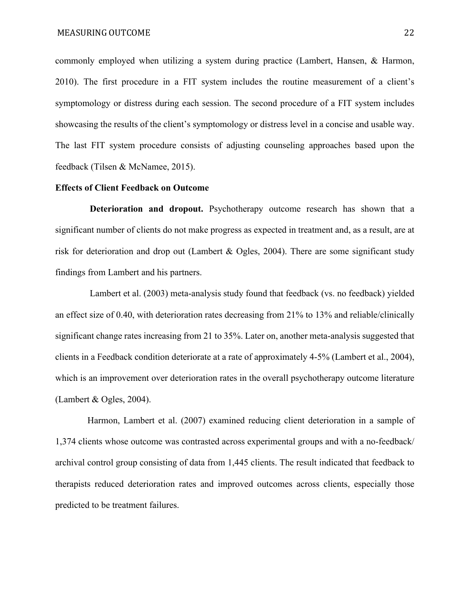commonly employed when utilizing a system during practice (Lambert, Hansen, & Harmon, 2010). The first procedure in a FIT system includes the routine measurement of a client's symptomology or distress during each session. The second procedure of a FIT system includes showcasing the results of the client's symptomology or distress level in a concise and usable way. The last FIT system procedure consists of adjusting counseling approaches based upon the feedback (Tilsen & McNamee, 2015).

# **Effects of Client Feedback on Outcome**

 **Deterioration and dropout.** Psychotherapy outcome research has shown that a significant number of clients do not make progress as expected in treatment and, as a result, are at risk for deterioration and drop out (Lambert & Ogles, 2004). There are some significant study findings from Lambert and his partners.

 Lambert et al. (2003) meta-analysis study found that feedback (vs. no feedback) yielded an effect size of 0.40, with deterioration rates decreasing from 21% to 13% and reliable/clinically significant change rates increasing from 21 to 35%. Later on, another meta-analysis suggested that clients in a Feedback condition deteriorate at a rate of approximately 4-5% (Lambert et al., 2004), which is an improvement over deterioration rates in the overall psychotherapy outcome literature (Lambert & Ogles, 2004).

 Harmon, Lambert et al. (2007) examined reducing client deterioration in a sample of 1,374 clients whose outcome was contrasted across experimental groups and with a no-feedback/ archival control group consisting of data from 1,445 clients. The result indicated that feedback to therapists reduced deterioration rates and improved outcomes across clients, especially those predicted to be treatment failures.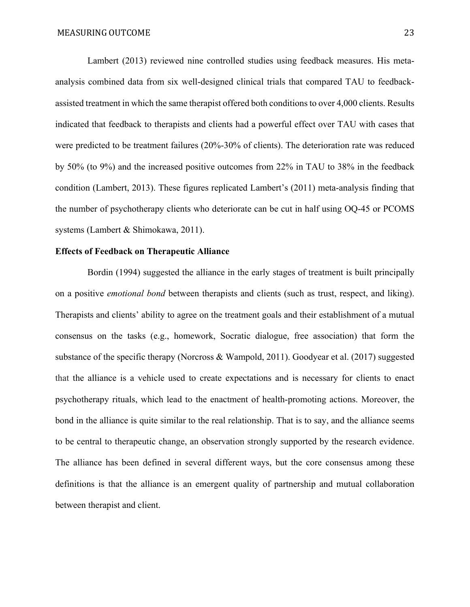Lambert (2013) reviewed nine controlled studies using feedback measures. His metaanalysis combined data from six well-designed clinical trials that compared TAU to feedbackassisted treatment in which the same therapist offered both conditions to over 4,000 clients. Results indicated that feedback to therapists and clients had a powerful effect over TAU with cases that were predicted to be treatment failures (20%-30% of clients). The deterioration rate was reduced by 50% (to 9%) and the increased positive outcomes from 22% in TAU to 38% in the feedback condition (Lambert, 2013). These figures replicated Lambert's (2011) meta-analysis finding that the number of psychotherapy clients who deteriorate can be cut in half using OQ-45 or PCOMS systems (Lambert & Shimokawa, 2011).

# **Effects of Feedback on Therapeutic Alliance**

 Bordin (1994) suggested the alliance in the early stages of treatment is built principally on a positive *emotional bond* between therapists and clients (such as trust, respect, and liking). Therapists and clients' ability to agree on the treatment goals and their establishment of a mutual consensus on the tasks (e.g., homework, Socratic dialogue, free association) that form the substance of the specific therapy (Norcross & Wampold, 2011). Goodyear et al. (2017) suggested that the alliance is a vehicle used to create expectations and is necessary for clients to enact psychotherapy rituals, which lead to the enactment of health‐promoting actions. Moreover, the bond in the alliance is quite similar to the real relationship. That is to say, and the alliance seems to be central to therapeutic change, an observation strongly supported by the research evidence. The alliance has been defined in several different ways, but the core consensus among these definitions is that the alliance is an emergent quality of partnership and mutual collaboration between therapist and client.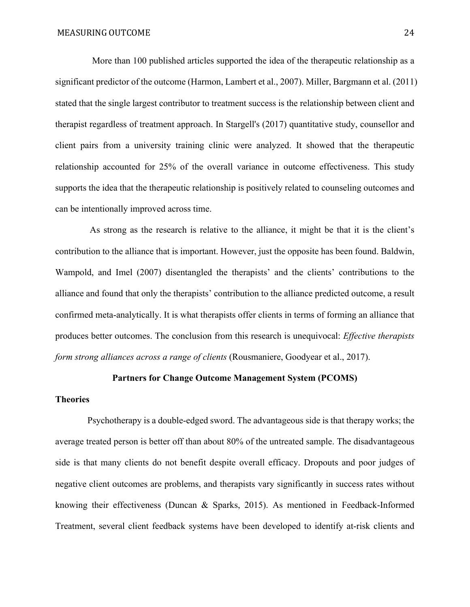More than 100 published articles supported the idea of the therapeutic relationship as a significant predictor of the outcome (Harmon, Lambert et al., 2007). Miller, Bargmann et al. (2011) stated that the single largest contributor to treatment success is the relationship between client and therapist regardless of treatment approach. In Stargell's (2017) quantitative study, counsellor and client pairs from a university training clinic were analyzed. It showed that the therapeutic relationship accounted for 25% of the overall variance in outcome effectiveness. This study supports the idea that the therapeutic relationship is positively related to counseling outcomes and can be intentionally improved across time.

 As strong as the research is relative to the alliance, it might be that it is the client's contribution to the alliance that is important. However, just the opposite has been found. Baldwin, Wampold, and Imel (2007) disentangled the therapists' and the clients' contributions to the alliance and found that only the therapists' contribution to the alliance predicted outcome, a result confirmed meta‐analytically. It is what therapists offer clients in terms of forming an alliance that produces better outcomes. The conclusion from this research is unequivocal: *Effective therapists form strong alliances across a range of clients* (Rousmaniere, Goodyear et al., 2017).

# **Partners for Change Outcome Management System (PCOMS)**

# **Theories**

 Psychotherapy is a double-edged sword. The advantageous side is that therapy works; the average treated person is better off than about 80% of the untreated sample. The disadvantageous side is that many clients do not benefit despite overall efficacy. Dropouts and poor judges of negative client outcomes are problems, and therapists vary significantly in success rates without knowing their effectiveness (Duncan & Sparks, 2015). As mentioned in Feedback-Informed Treatment, several client feedback systems have been developed to identify at-risk clients and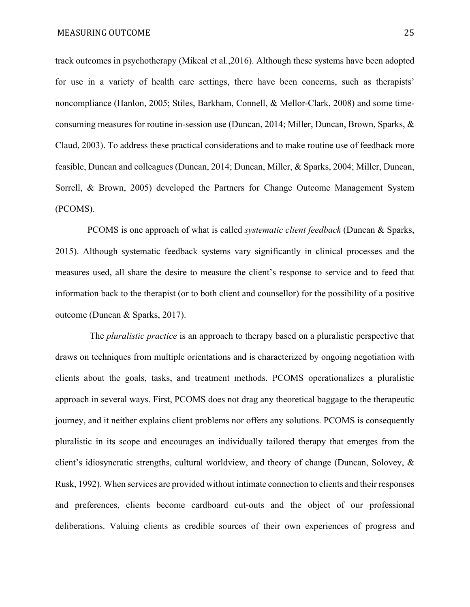track outcomes in psychotherapy (Mikeal et al.,2016). Although these systems have been adopted for use in a variety of health care settings, there have been concerns, such as therapists' noncompliance (Hanlon, 2005; Stiles, Barkham, Connell, & Mellor-Clark, 2008) and some timeconsuming measures for routine in-session use (Duncan, 2014; Miller, Duncan, Brown, Sparks, & Claud, 2003). To address these practical considerations and to make routine use of feedback more feasible, Duncan and colleagues (Duncan, 2014; Duncan, Miller, & Sparks, 2004; Miller, Duncan, Sorrell, & Brown, 2005) developed the Partners for Change Outcome Management System (PCOMS).

 PCOMS is one approach of what is called *systematic client feedback* (Duncan & Sparks, 2015). Although systematic feedback systems vary significantly in clinical processes and the measures used, all share the desire to measure the client's response to service and to feed that information back to the therapist (or to both client and counsellor) for the possibility of a positive outcome (Duncan & Sparks, 2017).

 The *pluralistic practice* is an approach to therapy based on a pluralistic perspective that draws on techniques from multiple orientations and is characterized by ongoing negotiation with clients about the goals, tasks, and treatment methods. PCOMS operationalizes a pluralistic approach in several ways. First, PCOMS does not drag any theoretical baggage to the therapeutic journey, and it neither explains client problems nor offers any solutions. PCOMS is consequently pluralistic in its scope and encourages an individually tailored therapy that emerges from the client's idiosyncratic strengths, cultural worldview, and theory of change (Duncan, Solovey, & Rusk, 1992). When services are provided without intimate connection to clients and their responses and preferences, clients become cardboard cut-outs and the object of our professional deliberations. Valuing clients as credible sources of their own experiences of progress and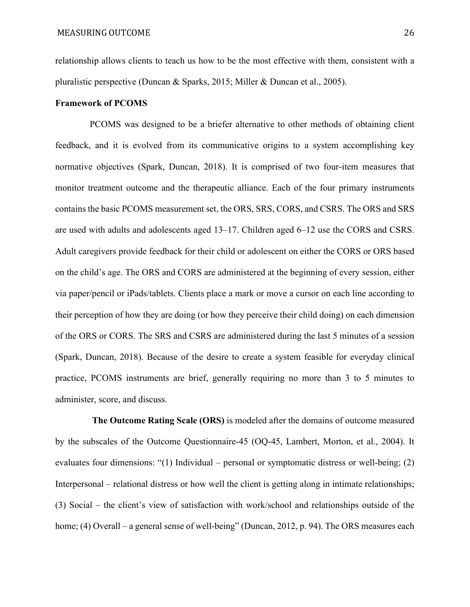relationship allows clients to teach us how to be the most effective with them, consistent with a pluralistic perspective (Duncan & Sparks, 2015; Miller & Duncan et al., 2005).

#### **Framework of PCOMS**

 PCOMS was designed to be a briefer alternative to other methods of obtaining client feedback, and it is evolved from its communicative origins to a system accomplishing key normative objectives (Spark, Duncan, 2018). It is comprised of two four-item measures that monitor treatment outcome and the therapeutic alliance. Each of the four primary instruments contains the basic PCOMS measurement set, the ORS, SRS, CORS, and CSRS. The ORS and SRS are used with adults and adolescents aged 13–17. Children aged 6–12 use the CORS and CSRS. Adult caregivers provide feedback for their child or adolescent on either the CORS or ORS based on the child's age. The ORS and CORS are administered at the beginning of every session, either via paper/pencil or iPads/tablets. Clients place a mark or move a cursor on each line according to their perception of how they are doing (or how they perceive their child doing) on each dimension of the ORS or CORS. The SRS and CSRS are administered during the last 5 minutes of a session (Spark, Duncan, 2018). Because of the desire to create a system feasible for everyday clinical practice, PCOMS instruments are brief, generally requiring no more than 3 to 5 minutes to administer, score, and discuss.

 **The Outcome Rating Scale (ORS)** is modeled after the domains of outcome measured by the subscales of the Outcome Questionnaire-45 (OQ-45, Lambert, Morton, et al., 2004). It evaluates four dimensions: "(1) Individual – personal or symptomatic distress or well-being; (2) Interpersonal – relational distress or how well the client is getting along in intimate relationships; (3) Social – the client's view of satisfaction with work/school and relationships outside of the home; (4) Overall – a general sense of well-being" (Duncan, 2012, p. 94). The ORS measures each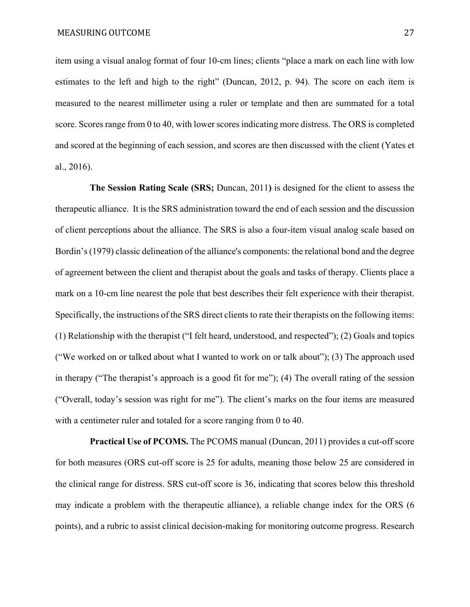item using a visual analog format of four 10-cm lines; clients "place a mark on each line with low estimates to the left and high to the right" (Duncan, 2012, p. 94). The score on each item is measured to the nearest millimeter using a ruler or template and then are summated for a total score. Scores range from 0 to 40, with lower scores indicating more distress. The ORS is completed and scored at the beginning of each session, and scores are then discussed with the client (Yates et al., 2016).

 **The Session Rating Scale (SRS;** Duncan, 2011**)** is designed for the client to assess the therapeutic alliance. It is the SRS administration toward the end of each session and the discussion of client perceptions about the alliance. The SRS is also a four-item visual analog scale based on Bordin's (1979) classic delineation of the alliance's components: the relational bond and the degree of agreement between the client and therapist about the goals and tasks of therapy. Clients place a mark on a 10-cm line nearest the pole that best describes their felt experience with their therapist. Specifically, the instructions of the SRS direct clients to rate their therapists on the following items: (1) Relationship with the therapist ("I felt heard, understood, and respected"); (2) Goals and topics ("We worked on or talked about what I wanted to work on or talk about"); (3) The approach used in therapy ("The therapist's approach is a good fit for me"); (4) The overall rating of the session ("Overall, today's session was right for me"). The client's marks on the four items are measured with a centimeter ruler and totaled for a score ranging from 0 to 40.

 **Practical Use of PCOMS.** The PCOMS manual (Duncan, 2011) provides a cut-off score for both measures (ORS cut-off score is 25 for adults, meaning those below 25 are considered in the clinical range for distress. SRS cut-off score is 36, indicating that scores below this threshold may indicate a problem with the therapeutic alliance), a reliable change index for the ORS (6 points), and a rubric to assist clinical decision-making for monitoring outcome progress. Research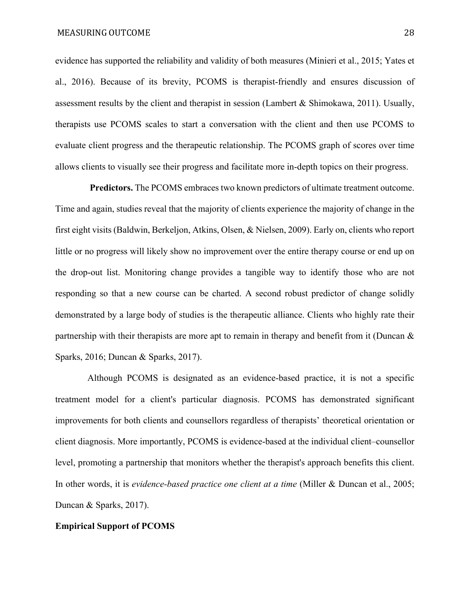evidence has supported the reliability and validity of both measures (Minieri et al., 2015; Yates et al., 2016). Because of its brevity, PCOMS is therapist-friendly and ensures discussion of assessment results by the client and therapist in session (Lambert & Shimokawa, 2011). Usually, therapists use PCOMS scales to start a conversation with the client and then use PCOMS to evaluate client progress and the therapeutic relationship. The PCOMS graph of scores over time allows clients to visually see their progress and facilitate more in-depth topics on their progress.

 **Predictors.** The PCOMS embraces two known predictors of ultimate treatment outcome. Time and again, studies reveal that the majority of clients experience the majority of change in the first eight visits (Baldwin, Berkeljon, Atkins, Olsen, & Nielsen, 2009). Early on, clients who report little or no progress will likely show no improvement over the entire therapy course or end up on the drop-out list. Monitoring change provides a tangible way to identify those who are not responding so that a new course can be charted. A second robust predictor of change solidly demonstrated by a large body of studies is the therapeutic alliance. Clients who highly rate their partnership with their therapists are more apt to remain in therapy and benefit from it (Duncan & Sparks, 2016; Duncan & Sparks, 2017).

 Although PCOMS is designated as an evidence-based practice, it is not a specific treatment model for a client's particular diagnosis. PCOMS has demonstrated significant improvements for both clients and counsellors regardless of therapists' theoretical orientation or client diagnosis. More importantly, PCOMS is evidence-based at the individual client–counsellor level, promoting a partnership that monitors whether the therapist's approach benefits this client. In other words, it is *evidence-based practice one client at a time* (Miller & Duncan et al., 2005; Duncan & Sparks, 2017).

## **Empirical Support of PCOMS**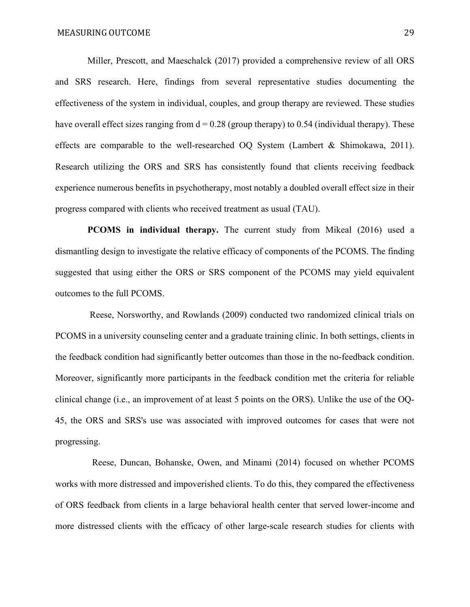Miller, Prescott, and Maeschalck (2017) provided a comprehensive review of all ORS and SRS research. Here, findings from several representative studies documenting the effectiveness of the system in individual, couples, and group therapy are reviewed. These studies have overall effect sizes ranging from  $d = 0.28$  (group therapy) to 0.54 (individual therapy). These effects are comparable to the well-researched OQ System (Lambert & Shimokawa, 2011). Research utilizing the ORS and SRS has consistently found that clients receiving feedback experience numerous benefits in psychotherapy, most notably a doubled overall effect size in their progress compared with clients who received treatment as usual (TAU).

**PCOMS** in individual therapy. The current study from Mikeal (2016) used a dismantling design to investigate the relative efficacy of components of the PCOMS. The finding suggested that using either the ORS or SRS component of the PCOMS may yield equivalent outcomes to the full PCOMS.

 Reese, Norsworthy, and Rowlands (2009) conducted two randomized clinical trials on PCOMS in a university counseling center and a graduate training clinic. In both settings, clients in the feedback condition had significantly better outcomes than those in the no-feedback condition. Moreover, significantly more participants in the feedback condition met the criteria for reliable clinical change (i.e., an improvement of at least 5 points on the ORS). Unlike the use of the OQ-45, the ORS and SRS's use was associated with improved outcomes for cases that were not progressing.

 Reese, Duncan, Bohanske, Owen, and Minami (2014) focused on whether PCOMS works with more distressed and impoverished clients. To do this, they compared the effectiveness of ORS feedback from clients in a large behavioral health center that served lower-income and more distressed clients with the efficacy of other large-scale research studies for clients with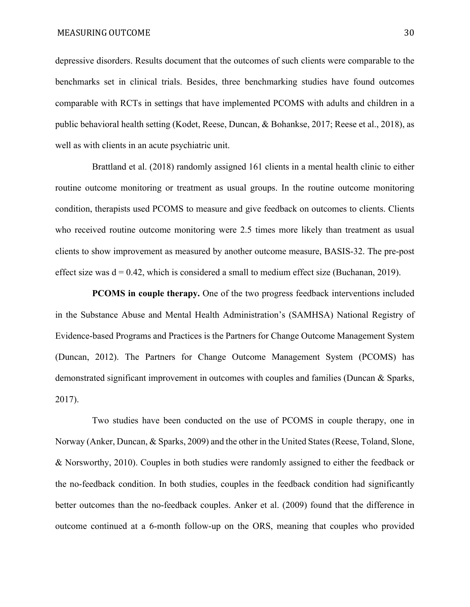depressive disorders. Results document that the outcomes of such clients were comparable to the benchmarks set in clinical trials. Besides, three benchmarking studies have found outcomes comparable with RCTs in settings that have implemented PCOMS with adults and children in a public behavioral health setting (Kodet, Reese, Duncan, & Bohankse, 2017; Reese et al., 2018), as well as with clients in an acute psychiatric unit.

 Brattland et al. (2018) randomly assigned 161 clients in a mental health clinic to either routine outcome monitoring or treatment as usual groups. In the routine outcome monitoring condition, therapists used PCOMS to measure and give feedback on outcomes to clients. Clients who received routine outcome monitoring were 2.5 times more likely than treatment as usual clients to show improvement as measured by another outcome measure, BASIS-32. The pre-post effect size was  $d = 0.42$ , which is considered a small to medium effect size (Buchanan, 2019).

**PCOMS in couple therapy.** One of the two progress feedback interventions included in the Substance Abuse and Mental Health Administration's (SAMHSA) National Registry of Evidence-based Programs and Practices is the Partners for Change Outcome Management System (Duncan, 2012). The Partners for Change Outcome Management System (PCOMS) has demonstrated significant improvement in outcomes with couples and families (Duncan & Sparks, 2017).

 Two studies have been conducted on the use of PCOMS in couple therapy, one in Norway (Anker, Duncan, & Sparks, 2009) and the other in the United States (Reese, Toland, Slone, & Norsworthy, 2010). Couples in both studies were randomly assigned to either the feedback or the no-feedback condition. In both studies, couples in the feedback condition had significantly better outcomes than the no-feedback couples. Anker et al. (2009) found that the difference in outcome continued at a 6-month follow-up on the ORS, meaning that couples who provided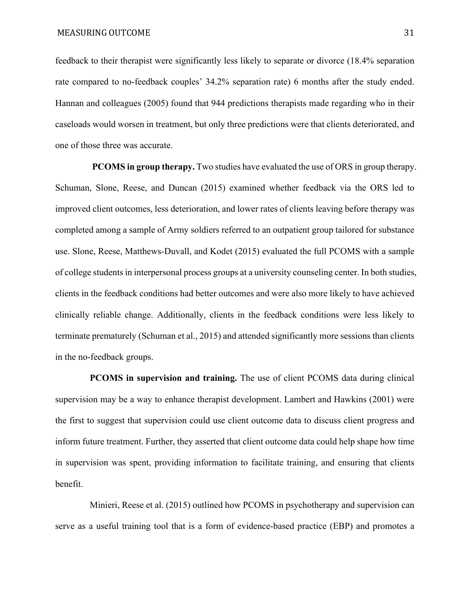feedback to their therapist were significantly less likely to separate or divorce (18.4% separation rate compared to no-feedback couples' 34.2% separation rate) 6 months after the study ended. Hannan and colleagues (2005) found that 944 predictions therapists made regarding who in their caseloads would worsen in treatment, but only three predictions were that clients deteriorated, and one of those three was accurate.

**PCOMS in group therapy.** Two studies have evaluated the use of ORS in group therapy. Schuman, Slone, Reese, and Duncan (2015) examined whether feedback via the ORS led to improved client outcomes, less deterioration, and lower rates of clients leaving before therapy was completed among a sample of Army soldiers referred to an outpatient group tailored for substance use. Slone, Reese, Matthews-Duvall, and Kodet (2015) evaluated the full PCOMS with a sample of college students in interpersonal process groups at a university counseling center. In both studies, clients in the feedback conditions had better outcomes and were also more likely to have achieved clinically reliable change. Additionally, clients in the feedback conditions were less likely to terminate prematurely (Schuman et al., 2015) and attended significantly more sessions than clients in the no-feedback groups.

 **PCOMS in supervision and training.** The use of client PCOMS data during clinical supervision may be a way to enhance therapist development. Lambert and Hawkins (2001) were the first to suggest that supervision could use client outcome data to discuss client progress and inform future treatment. Further, they asserted that client outcome data could help shape how time in supervision was spent, providing information to facilitate training, and ensuring that clients benefit.

 Minieri, Reese et al. (2015) outlined how PCOMS in psychotherapy and supervision can serve as a useful training tool that is a form of evidence-based practice (EBP) and promotes a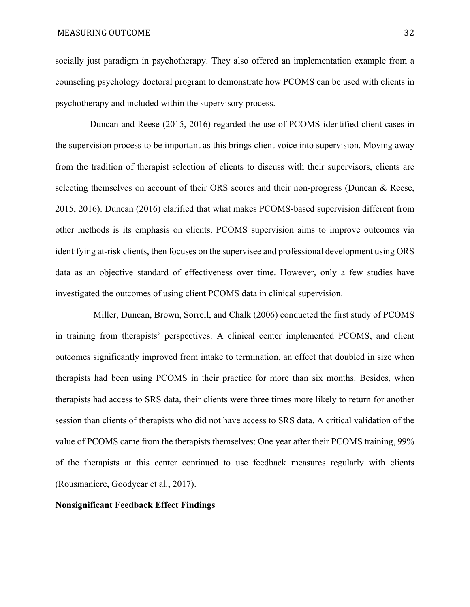socially just paradigm in psychotherapy. They also offered an implementation example from a counseling psychology doctoral program to demonstrate how PCOMS can be used with clients in psychotherapy and included within the supervisory process.

 Duncan and Reese (2015, 2016) regarded the use of PCOMS-identified client cases in the supervision process to be important as this brings client voice into supervision. Moving away from the tradition of therapist selection of clients to discuss with their supervisors, clients are selecting themselves on account of their ORS scores and their non-progress (Duncan & Reese, 2015, 2016). Duncan (2016) clarified that what makes PCOMS-based supervision different from other methods is its emphasis on clients. PCOMS supervision aims to improve outcomes via identifying at-risk clients, then focuses on the supervisee and professional development using ORS data as an objective standard of effectiveness over time. However, only a few studies have investigated the outcomes of using client PCOMS data in clinical supervision.

Miller, Duncan, Brown, Sorrell, and Chalk (2006) conducted the first study of PCOMS in training from therapists' perspectives. A clinical center implemented PCOMS, and client outcomes significantly improved from intake to termination, an effect that doubled in size when therapists had been using PCOMS in their practice for more than six months. Besides, when therapists had access to SRS data, their clients were three times more likely to return for another session than clients of therapists who did not have access to SRS data. A critical validation of the value of PCOMS came from the therapists themselves: One year after their PCOMS training, 99% of the therapists at this center continued to use feedback measures regularly with clients (Rousmaniere, Goodyear et al., 2017).

#### **Nonsignificant Feedback Effect Findings**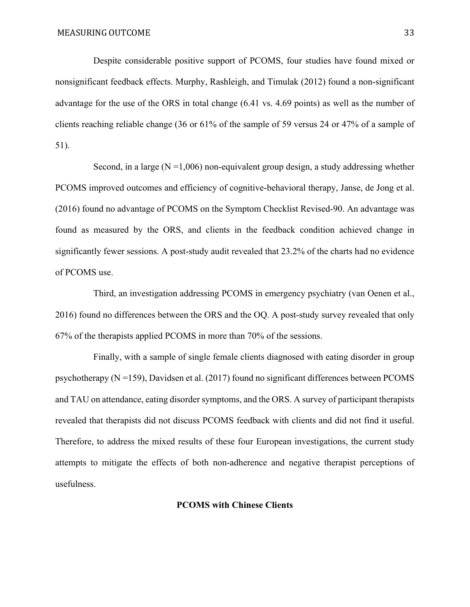Despite considerable positive support of PCOMS, four studies have found mixed or nonsignificant feedback effects. Murphy, Rashleigh, and Timulak (2012) found a non-significant advantage for the use of the ORS in total change (6.41 vs. 4.69 points) as well as the number of clients reaching reliable change (36 or 61% of the sample of 59 versus 24 or 47% of a sample of 51).

Second, in a large  $(N = 1,006)$  non-equivalent group design, a study addressing whether PCOMS improved outcomes and efficiency of cognitive-behavioral therapy, Janse, de Jong et al. (2016) found no advantage of PCOMS on the Symptom Checklist Revised-90. An advantage was found as measured by the ORS, and clients in the feedback condition achieved change in significantly fewer sessions. A post-study audit revealed that 23.2% of the charts had no evidence of PCOMS use.

Third, an investigation addressing PCOMS in emergency psychiatry (van Oenen et al., 2016) found no differences between the ORS and the OQ. A post-study survey revealed that only 67% of the therapists applied PCOMS in more than 70% of the sessions.

Finally, with a sample of single female clients diagnosed with eating disorder in group psychotherapy  $(N = 159)$ , Davidsen et al. (2017) found no significant differences between PCOMS and TAU on attendance, eating disorder symptoms, and the ORS. A survey of participant therapists revealed that therapists did not discuss PCOMS feedback with clients and did not find it useful. Therefore, to address the mixed results of these four European investigations, the current study attempts to mitigate the effects of both non-adherence and negative therapist perceptions of usefulness.

# **PCOMS with Chinese Clients**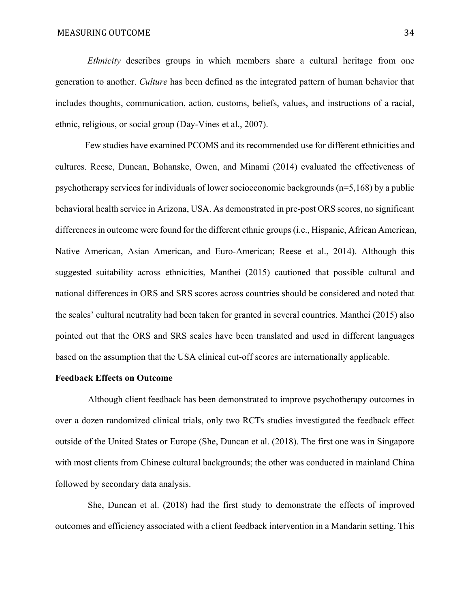*Ethnicity* describes groups in which members share a cultural heritage from one generation to another. *Culture* has been defined as the integrated pattern of human behavior that includes thoughts, communication, action, customs, beliefs, values, and instructions of a racial, ethnic, religious, or social group (Day‐Vines et al., 2007).

 Few studies have examined PCOMS and its recommended use for different ethnicities and cultures. Reese, Duncan, Bohanske, Owen, and Minami (2014) evaluated the effectiveness of psychotherapy services for individuals of lower socioeconomic backgrounds (n=5,168) by a public behavioral health service in Arizona, USA. As demonstrated in pre-post ORS scores, no significant differences in outcome were found for the different ethnic groups (i.e., Hispanic, African American, Native American, Asian American, and Euro-American; Reese et al., 2014). Although this suggested suitability across ethnicities, Manthei (2015) cautioned that possible cultural and national differences in ORS and SRS scores across countries should be considered and noted that the scales' cultural neutrality had been taken for granted in several countries. Manthei (2015) also pointed out that the ORS and SRS scales have been translated and used in different languages based on the assumption that the USA clinical cut-off scores are internationally applicable.

## **Feedback Effects on Outcome**

Although client feedback has been demonstrated to improve psychotherapy outcomes in over a dozen randomized clinical trials, only two RCTs studies investigated the feedback effect outside of the United States or Europe (She, Duncan et al. (2018). The first one was in Singapore with most clients from Chinese cultural backgrounds; the other was conducted in mainland China followed by secondary data analysis.

She, Duncan et al. (2018) had the first study to demonstrate the effects of improved outcomes and efficiency associated with a client feedback intervention in a Mandarin setting. This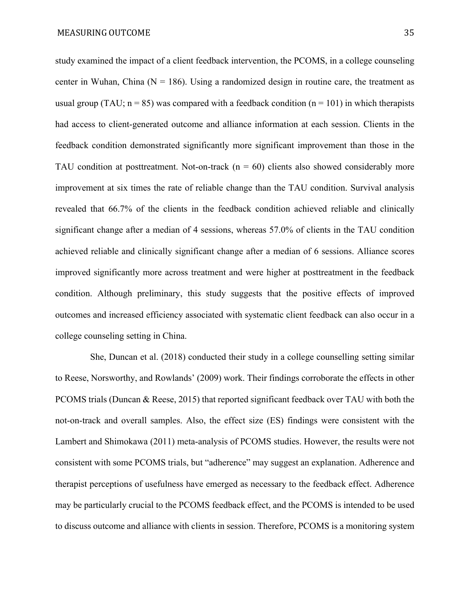study examined the impact of a client feedback intervention, the PCOMS, in a college counseling center in Wuhan, China ( $N = 186$ ). Using a randomized design in routine care, the treatment as usual group (TAU;  $n = 85$ ) was compared with a feedback condition ( $n = 101$ ) in which therapists had access to client-generated outcome and alliance information at each session. Clients in the feedback condition demonstrated significantly more significant improvement than those in the TAU condition at posttreatment. Not-on-track  $(n = 60)$  clients also showed considerably more improvement at six times the rate of reliable change than the TAU condition. Survival analysis revealed that 66.7% of the clients in the feedback condition achieved reliable and clinically significant change after a median of 4 sessions, whereas 57.0% of clients in the TAU condition achieved reliable and clinically significant change after a median of 6 sessions. Alliance scores improved significantly more across treatment and were higher at posttreatment in the feedback condition. Although preliminary, this study suggests that the positive effects of improved outcomes and increased efficiency associated with systematic client feedback can also occur in a college counseling setting in China.

She, Duncan et al. (2018) conducted their study in a college counselling setting similar to Reese, Norsworthy, and Rowlands' (2009) work. Their findings corroborate the effects in other PCOMS trials (Duncan & Reese, 2015) that reported significant feedback over TAU with both the not-on-track and overall samples. Also, the effect size (ES) findings were consistent with the Lambert and Shimokawa (2011) meta-analysis of PCOMS studies. However, the results were not consistent with some PCOMS trials, but "adherence" may suggest an explanation. Adherence and therapist perceptions of usefulness have emerged as necessary to the feedback effect. Adherence may be particularly crucial to the PCOMS feedback effect, and the PCOMS is intended to be used to discuss outcome and alliance with clients in session. Therefore, PCOMS is a monitoring system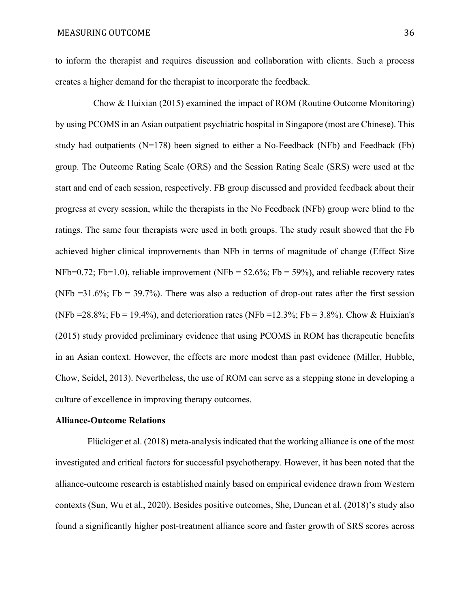to inform the therapist and requires discussion and collaboration with clients. Such a process creates a higher demand for the therapist to incorporate the feedback.

Chow & Huixian (2015) examined the impact of ROM (Routine Outcome Monitoring) by using PCOMS in an Asian outpatient psychiatric hospital in Singapore (most are Chinese). This study had outpatients  $(N=178)$  been signed to either a No-Feedback (NFb) and Feedback (Fb) group. The Outcome Rating Scale (ORS) and the Session Rating Scale (SRS) were used at the start and end of each session, respectively. FB group discussed and provided feedback about their progress at every session, while the therapists in the No Feedback (NFb) group were blind to the ratings. The same four therapists were used in both groups. The study result showed that the Fb achieved higher clinical improvements than NFb in terms of magnitude of change (Effect Size NFb=0.72; Fb=1.0), reliable improvement (NFb =  $52.6\%$ ; Fb =  $59\%$ ), and reliable recovery rates (NFb = 31.6%; Fb = 39.7%). There was also a reduction of drop-out rates after the first session (NFb = 28.8%; Fb = 19.4%), and deterioration rates (NFb = 12.3%; Fb = 3.8%). Chow & Huixian's (2015) study provided preliminary evidence that using PCOMS in ROM has therapeutic benefits in an Asian context. However, the effects are more modest than past evidence (Miller, Hubble, Chow, Seidel, 2013). Nevertheless, the use of ROM can serve as a stepping stone in developing a culture of excellence in improving therapy outcomes.

#### **Alliance-Outcome Relations**

 Flückiger et al. (2018) meta-analysis indicated that the working alliance is one of the most investigated and critical factors for successful psychotherapy. However, it has been noted that the alliance-outcome research is established mainly based on empirical evidence drawn from Western contexts (Sun, Wu et al., 2020). Besides positive outcomes, She, Duncan et al. (2018)'s study also found a significantly higher post-treatment alliance score and faster growth of SRS scores across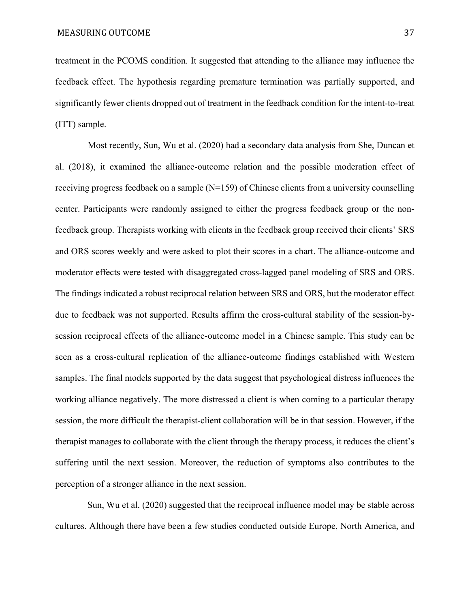treatment in the PCOMS condition. It suggested that attending to the alliance may influence the feedback effect. The hypothesis regarding premature termination was partially supported, and significantly fewer clients dropped out of treatment in the feedback condition for the intent-to-treat (ITT) sample.

Most recently, Sun, Wu et al. (2020) had a secondary data analysis from She, Duncan et al. (2018), it examined the alliance-outcome relation and the possible moderation effect of receiving progress feedback on a sample (N=159) of Chinese clients from a university counselling center. Participants were randomly assigned to either the progress feedback group or the nonfeedback group. Therapists working with clients in the feedback group received their clients' SRS and ORS scores weekly and were asked to plot their scores in a chart. The alliance-outcome and moderator effects were tested with disaggregated cross-lagged panel modeling of SRS and ORS. The findings indicated a robust reciprocal relation between SRS and ORS, but the moderator effect due to feedback was not supported. Results affirm the cross-cultural stability of the session-bysession reciprocal effects of the alliance-outcome model in a Chinese sample. This study can be seen as a cross-cultural replication of the alliance-outcome findings established with Western samples. The final models supported by the data suggest that psychological distress influences the working alliance negatively. The more distressed a client is when coming to a particular therapy session, the more difficult the therapist-client collaboration will be in that session. However, if the therapist manages to collaborate with the client through the therapy process, it reduces the client's suffering until the next session. Moreover, the reduction of symptoms also contributes to the perception of a stronger alliance in the next session.

 Sun, Wu et al. (2020) suggested that the reciprocal influence model may be stable across cultures. Although there have been a few studies conducted outside Europe, North America, and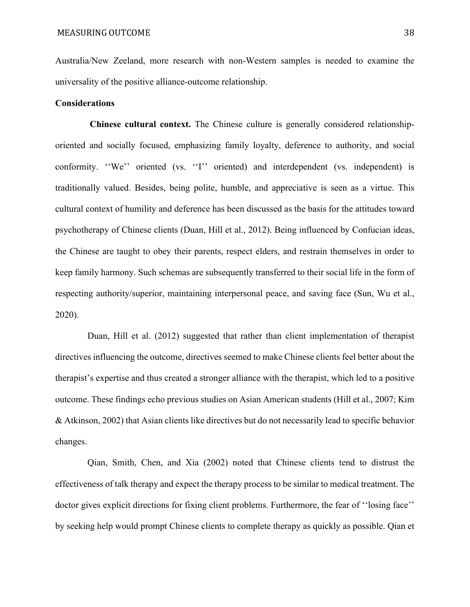Australia/New Zeeland, more research with non-Western samples is needed to examine the universality of the positive alliance-outcome relationship.

#### **Considerations**

 **Chinese cultural context.** The Chinese culture is generally considered relationshiporiented and socially focused, emphasizing family loyalty, deference to authority, and social conformity. "We" oriented (vs. "I" oriented) and interdependent (vs. independent) is traditionally valued. Besides, being polite, humble, and appreciative is seen as a virtue. This cultural context of humility and deference has been discussed as the basis for the attitudes toward psychotherapy of Chinese clients (Duan, Hill et al., 2012). Being influenced by Confucian ideas, the Chinese are taught to obey their parents, respect elders, and restrain themselves in order to keep family harmony. Such schemas are subsequently transferred to their social life in the form of respecting authority/superior, maintaining interpersonal peace, and saving face (Sun, Wu et al., 2020).

 Duan, Hill et al. (2012) suggested that rather than client implementation of therapist directives influencing the outcome, directives seemed to make Chinese clients feel better about the therapist's expertise and thus created a stronger alliance with the therapist, which led to a positive outcome. These findings echo previous studies on Asian American students (Hill et al., 2007; Kim & Atkinson, 2002) that Asian clients like directives but do not necessarily lead to specific behavior changes.

 Qian, Smith, Chen, and Xia (2002) noted that Chinese clients tend to distrust the effectiveness of talk therapy and expect the therapy process to be similar to medical treatment. The doctor gives explicit directions for fixing client problems. Furthermore, the fear of ''losing face'' by seeking help would prompt Chinese clients to complete therapy as quickly as possible. Qian et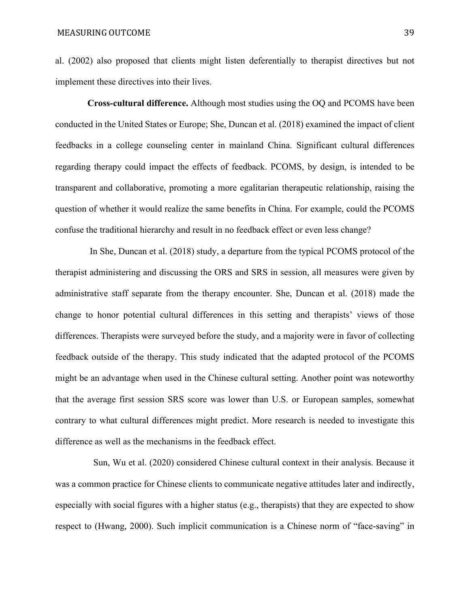al. (2002) also proposed that clients might listen deferentially to therapist directives but not implement these directives into their lives.

 **Cross-cultural difference.** Although most studies using the OQ and PCOMS have been conducted in the United States or Europe; She, Duncan et al. (2018) examined the impact of client feedbacks in a college counseling center in mainland China. Significant cultural differences regarding therapy could impact the effects of feedback. PCOMS, by design, is intended to be transparent and collaborative, promoting a more egalitarian therapeutic relationship, raising the question of whether it would realize the same benefits in China. For example, could the PCOMS confuse the traditional hierarchy and result in no feedback effect or even less change?

 In She, Duncan et al. (2018) study, a departure from the typical PCOMS protocol of the therapist administering and discussing the ORS and SRS in session, all measures were given by administrative staff separate from the therapy encounter. She, Duncan et al. (2018) made the change to honor potential cultural differences in this setting and therapists' views of those differences. Therapists were surveyed before the study, and a majority were in favor of collecting feedback outside of the therapy. This study indicated that the adapted protocol of the PCOMS might be an advantage when used in the Chinese cultural setting. Another point was noteworthy that the average first session SRS score was lower than U.S. or European samples, somewhat contrary to what cultural differences might predict. More research is needed to investigate this difference as well as the mechanisms in the feedback effect.

Sun, Wu et al. (2020) considered Chinese cultural context in their analysis. Because it was a common practice for Chinese clients to communicate negative attitudes later and indirectly, especially with social figures with a higher status (e.g., therapists) that they are expected to show respect to (Hwang, 2000). Such implicit communication is a Chinese norm of "face-saving" in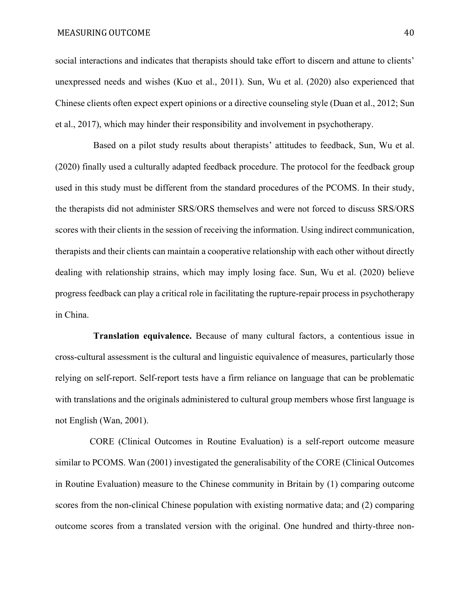#### MEASURING OUTCOME 40

social interactions and indicates that therapists should take effort to discern and attune to clients' unexpressed needs and wishes (Kuo et al., 2011). Sun, Wu et al. (2020) also experienced that Chinese clients often expect expert opinions or a directive counseling style (Duan et al., 2012; Sun et al., 2017), which may hinder their responsibility and involvement in psychotherapy.

Based on a pilot study results about therapists' attitudes to feedback, Sun, Wu et al. (2020) finally used a culturally adapted feedback procedure. The protocol for the feedback group used in this study must be different from the standard procedures of the PCOMS. In their study, the therapists did not administer SRS/ORS themselves and were not forced to discuss SRS/ORS scores with their clients in the session of receiving the information. Using indirect communication, therapists and their clients can maintain a cooperative relationship with each other without directly dealing with relationship strains, which may imply losing face. Sun, Wu et al. (2020) believe progress feedback can play a critical role in facilitating the rupture-repair process in psychotherapy in China.

**Translation equivalence.** Because of many cultural factors, a contentious issue in cross-cultural assessment is the cultural and linguistic equivalence of measures, particularly those relying on self-report. Self-report tests have a firm reliance on language that can be problematic with translations and the originals administered to cultural group members whose first language is not English (Wan, 2001).

 CORE (Clinical Outcomes in Routine Evaluation) is a self-report outcome measure similar to PCOMS. Wan (2001) investigated the generalisability of the CORE (Clinical Outcomes in Routine Evaluation) measure to the Chinese community in Britain by (1) comparing outcome scores from the non-clinical Chinese population with existing normative data; and (2) comparing outcome scores from a translated version with the original. One hundred and thirty-three non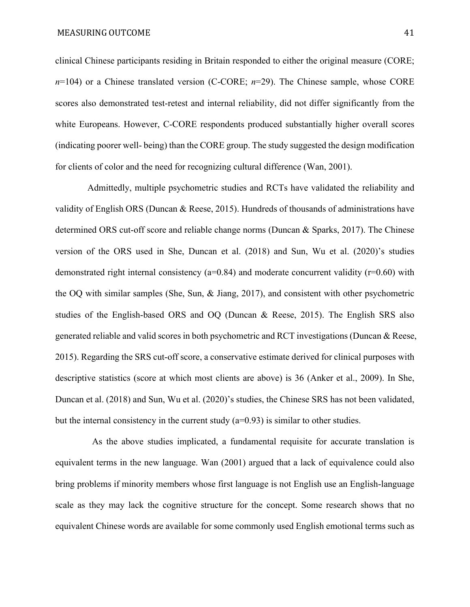clinical Chinese participants residing in Britain responded to either the original measure (CORE; *n*=104) or a Chinese translated version (C-CORE; *n*=29). The Chinese sample, whose CORE scores also demonstrated test-retest and internal reliability, did not differ significantly from the white Europeans. However, C-CORE respondents produced substantially higher overall scores (indicating poorer well- being) than the CORE group. The study suggested the design modification for clients of color and the need for recognizing cultural difference (Wan, 2001).

 Admittedly, multiple psychometric studies and RCTs have validated the reliability and validity of English ORS (Duncan & Reese, 2015). Hundreds of thousands of administrations have determined ORS cut-off score and reliable change norms (Duncan & Sparks, 2017). The Chinese version of the ORS used in She, Duncan et al. (2018) and Sun, Wu et al. (2020)'s studies demonstrated right internal consistency ( $a=0.84$ ) and moderate concurrent validity ( $r=0.60$ ) with the OQ with similar samples (She, Sun, & Jiang, 2017), and consistent with other psychometric studies of the English-based ORS and OQ (Duncan & Reese, 2015). The English SRS also generated reliable and valid scores in both psychometric and RCT investigations (Duncan & Reese, 2015). Regarding the SRS cut-off score, a conservative estimate derived for clinical purposes with descriptive statistics (score at which most clients are above) is 36 (Anker et al., 2009). In She, Duncan et al. (2018) and Sun, Wu et al. (2020)'s studies, the Chinese SRS has not been validated, but the internal consistency in the current study  $(a=0.93)$  is similar to other studies.

 As the above studies implicated, a fundamental requisite for accurate translation is equivalent terms in the new language. Wan (2001) argued that a lack of equivalence could also bring problems if minority members whose first language is not English use an English-language scale as they may lack the cognitive structure for the concept. Some research shows that no equivalent Chinese words are available for some commonly used English emotional terms such as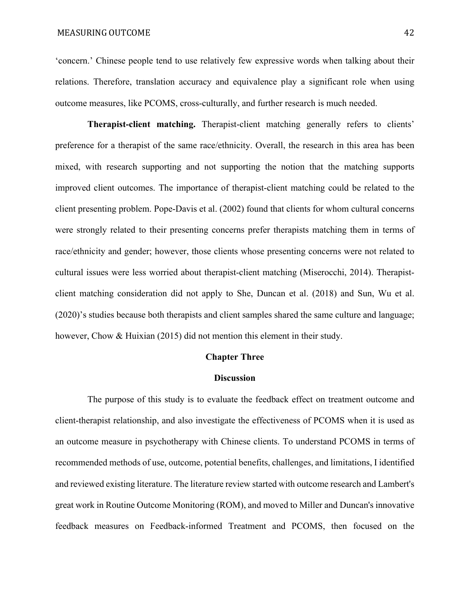'concern.' Chinese people tend to use relatively few expressive words when talking about their relations. Therefore, translation accuracy and equivalence play a significant role when using outcome measures, like PCOMS, cross-culturally, and further research is much needed.

 **Therapist-client matching.** Therapist-client matching generally refers to clients' preference for a therapist of the same race/ethnicity. Overall, the research in this area has been mixed, with research supporting and not supporting the notion that the matching supports improved client outcomes. The importance of therapist-client matching could be related to the client presenting problem. Pope-Davis et al. (2002) found that clients for whom cultural concerns were strongly related to their presenting concerns prefer therapists matching them in terms of race/ethnicity and gender; however, those clients whose presenting concerns were not related to cultural issues were less worried about therapist-client matching (Miserocchi, 2014). Therapistclient matching consideration did not apply to She, Duncan et al. (2018) and Sun, Wu et al. (2020)'s studies because both therapists and client samples shared the same culture and language; however, Chow & Huixian (2015) did not mention this element in their study.

#### **Chapter Three**

#### **Discussion**

The purpose of this study is to evaluate the feedback effect on treatment outcome and client-therapist relationship, and also investigate the effectiveness of PCOMS when it is used as an outcome measure in psychotherapy with Chinese clients. To understand PCOMS in terms of recommended methods of use, outcome, potential benefits, challenges, and limitations, I identified and reviewed existing literature. The literature review started with outcome research and Lambert's great work in Routine Outcome Monitoring (ROM), and moved to Miller and Duncan's innovative feedback measures on Feedback-informed Treatment and PCOMS, then focused on the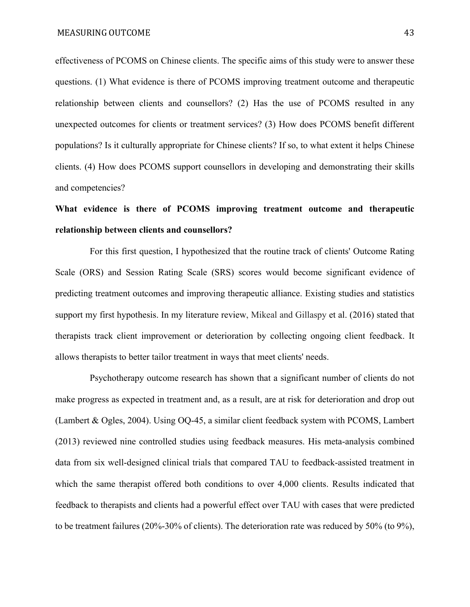effectiveness of PCOMS on Chinese clients. The specific aims of this study were to answer these questions. (1) What evidence is there of PCOMS improving treatment outcome and therapeutic relationship between clients and counsellors? (2) Has the use of PCOMS resulted in any unexpected outcomes for clients or treatment services? (3) How does PCOMS benefit different populations? Is it culturally appropriate for Chinese clients? If so, to what extent it helps Chinese clients. (4) How does PCOMS support counsellors in developing and demonstrating their skills and competencies?

### **What evidence is there of PCOMS improving treatment outcome and therapeutic relationship between clients and counsellors?**

For this first question, I hypothesized that the routine track of clients' Outcome Rating Scale (ORS) and Session Rating Scale (SRS) scores would become significant evidence of predicting treatment outcomes and improving therapeutic alliance. Existing studies and statistics support my first hypothesis. In my literature review, Mikeal and Gillaspy et al. (2016) stated that therapists track client improvement or deterioration by collecting ongoing client feedback. It allows therapists to better tailor treatment in ways that meet clients' needs.

 Psychotherapy outcome research has shown that a significant number of clients do not make progress as expected in treatment and, as a result, are at risk for deterioration and drop out (Lambert & Ogles, 2004). Using OQ-45, a similar client feedback system with PCOMS, Lambert (2013) reviewed nine controlled studies using feedback measures. His meta-analysis combined data from six well-designed clinical trials that compared TAU to feedback-assisted treatment in which the same therapist offered both conditions to over 4,000 clients. Results indicated that feedback to therapists and clients had a powerful effect over TAU with cases that were predicted to be treatment failures (20%-30% of clients). The deterioration rate was reduced by 50% (to 9%),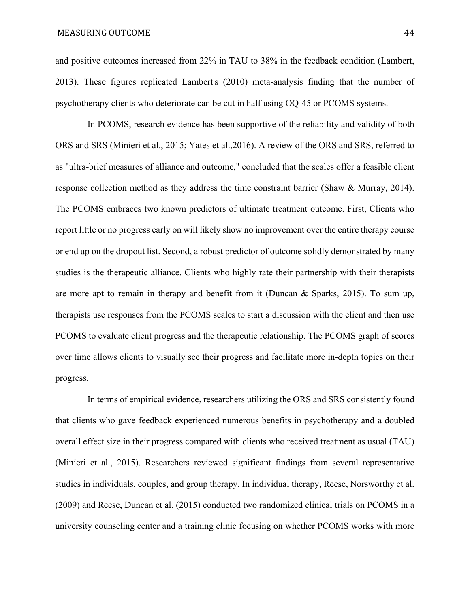and positive outcomes increased from 22% in TAU to 38% in the feedback condition (Lambert, 2013). These figures replicated Lambert's (2010) meta-analysis finding that the number of psychotherapy clients who deteriorate can be cut in half using OQ-45 or PCOMS systems.

 In PCOMS, research evidence has been supportive of the reliability and validity of both ORS and SRS (Minieri et al., 2015; Yates et al.,2016). A review of the ORS and SRS, referred to as "ultra-brief measures of alliance and outcome," concluded that the scales offer a feasible client response collection method as they address the time constraint barrier (Shaw & Murray, 2014). The PCOMS embraces two known predictors of ultimate treatment outcome. First, Clients who report little or no progress early on will likely show no improvement over the entire therapy course or end up on the dropout list. Second, a robust predictor of outcome solidly demonstrated by many studies is the therapeutic alliance. Clients who highly rate their partnership with their therapists are more apt to remain in therapy and benefit from it (Duncan  $\&$  Sparks, 2015). To sum up, therapists use responses from the PCOMS scales to start a discussion with the client and then use PCOMS to evaluate client progress and the therapeutic relationship. The PCOMS graph of scores over time allows clients to visually see their progress and facilitate more in-depth topics on their progress.

 In terms of empirical evidence, researchers utilizing the ORS and SRS consistently found that clients who gave feedback experienced numerous benefits in psychotherapy and a doubled overall effect size in their progress compared with clients who received treatment as usual (TAU) (Minieri et al., 2015). Researchers reviewed significant findings from several representative studies in individuals, couples, and group therapy. In individual therapy, Reese, Norsworthy et al. (2009) and Reese, Duncan et al. (2015) conducted two randomized clinical trials on PCOMS in a university counseling center and a training clinic focusing on whether PCOMS works with more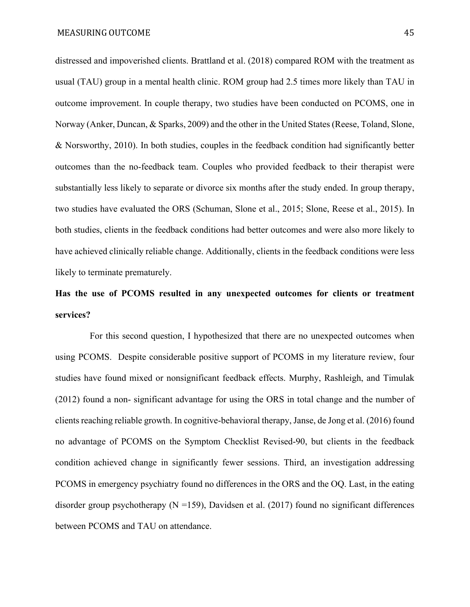distressed and impoverished clients. Brattland et al. (2018) compared ROM with the treatment as usual (TAU) group in a mental health clinic. ROM group had 2.5 times more likely than TAU in outcome improvement. In couple therapy, two studies have been conducted on PCOMS, one in Norway (Anker, Duncan, & Sparks, 2009) and the other in the United States (Reese, Toland, Slone, & Norsworthy, 2010). In both studies, couples in the feedback condition had significantly better outcomes than the no-feedback team. Couples who provided feedback to their therapist were substantially less likely to separate or divorce six months after the study ended. In group therapy, two studies have evaluated the ORS (Schuman, Slone et al., 2015; Slone, Reese et al., 2015). In both studies, clients in the feedback conditions had better outcomes and were also more likely to have achieved clinically reliable change. Additionally, clients in the feedback conditions were less likely to terminate prematurely.

## **Has the use of PCOMS resulted in any unexpected outcomes for clients or treatment services?**

 For this second question, I hypothesized that there are no unexpected outcomes when using PCOMS. Despite considerable positive support of PCOMS in my literature review, four studies have found mixed or nonsignificant feedback effects. Murphy, Rashleigh, and Timulak (2012) found a non- significant advantage for using the ORS in total change and the number of clients reaching reliable growth. In cognitive-behavioral therapy, Janse, de Jong et al. (2016) found no advantage of PCOMS on the Symptom Checklist Revised-90, but clients in the feedback condition achieved change in significantly fewer sessions. Third, an investigation addressing PCOMS in emergency psychiatry found no differences in the ORS and the OQ. Last, in the eating disorder group psychotherapy  $(N = 159)$ , Davidsen et al. (2017) found no significant differences between PCOMS and TAU on attendance.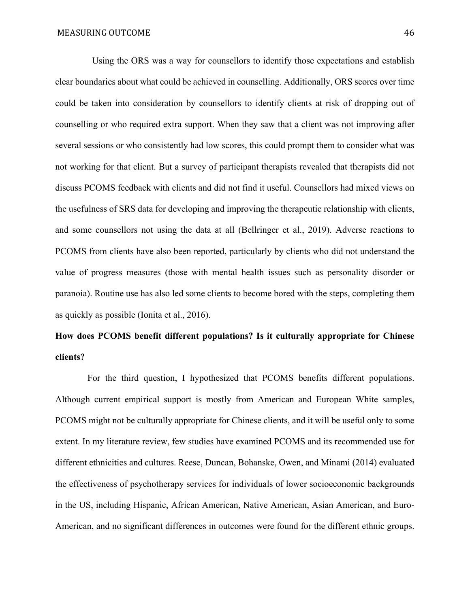Using the ORS was a way for counsellors to identify those expectations and establish clear boundaries about what could be achieved in counselling. Additionally, ORS scores over time could be taken into consideration by counsellors to identify clients at risk of dropping out of counselling or who required extra support. When they saw that a client was not improving after several sessions or who consistently had low scores, this could prompt them to consider what was not working for that client. But a survey of participant therapists revealed that therapists did not discuss PCOMS feedback with clients and did not find it useful. Counsellors had mixed views on the usefulness of SRS data for developing and improving the therapeutic relationship with clients, and some counsellors not using the data at all (Bellringer et al., 2019). Adverse reactions to PCOMS from clients have also been reported, particularly by clients who did not understand the value of progress measures (those with mental health issues such as personality disorder or paranoia). Routine use has also led some clients to become bored with the steps, completing them as quickly as possible (Ionita et al., 2016).

## **How does PCOMS benefit different populations? Is it culturally appropriate for Chinese clients?**

 For the third question, I hypothesized that PCOMS benefits different populations. Although current empirical support is mostly from American and European White samples, PCOMS might not be culturally appropriate for Chinese clients, and it will be useful only to some extent. In my literature review, few studies have examined PCOMS and its recommended use for different ethnicities and cultures. Reese, Duncan, Bohanske, Owen, and Minami (2014) evaluated the effectiveness of psychotherapy services for individuals of lower socioeconomic backgrounds in the US, including Hispanic, African American, Native American, Asian American, and Euro-American, and no significant differences in outcomes were found for the different ethnic groups.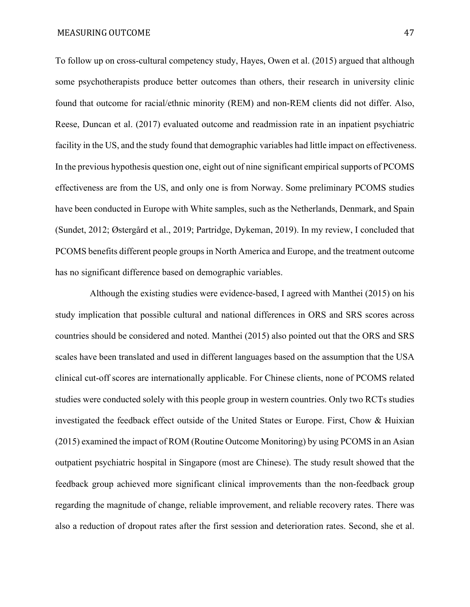To follow up on cross-cultural competency study, Hayes, Owen et al. (2015) argued that although some psychotherapists produce better outcomes than others, their research in university clinic found that outcome for racial/ethnic minority (REM) and non-REM clients did not differ. Also, Reese, Duncan et al. (2017) evaluated outcome and readmission rate in an inpatient psychiatric facility in the US, and the study found that demographic variables had little impact on effectiveness. In the previous hypothesis question one, eight out of nine significant empirical supports of PCOMS effectiveness are from the US, and only one is from Norway. Some preliminary PCOMS studies have been conducted in Europe with White samples, such as the Netherlands, Denmark, and Spain (Sundet, 2012; Østergård et al., 2019; Partridge, Dykeman, 2019). In my review, I concluded that PCOMS benefits different people groups in North America and Europe, and the treatment outcome has no significant difference based on demographic variables.

 Although the existing studies were evidence-based, I agreed with Manthei (2015) on his study implication that possible cultural and national differences in ORS and SRS scores across countries should be considered and noted. Manthei (2015) also pointed out that the ORS and SRS scales have been translated and used in different languages based on the assumption that the USA clinical cut-off scores are internationally applicable. For Chinese clients, none of PCOMS related studies were conducted solely with this people group in western countries. Only two RCTs studies investigated the feedback effect outside of the United States or Europe. First, Chow & Huixian (2015) examined the impact of ROM (Routine Outcome Monitoring) by using PCOMS in an Asian outpatient psychiatric hospital in Singapore (most are Chinese). The study result showed that the feedback group achieved more significant clinical improvements than the non-feedback group regarding the magnitude of change, reliable improvement, and reliable recovery rates. There was also a reduction of dropout rates after the first session and deterioration rates. Second, she et al.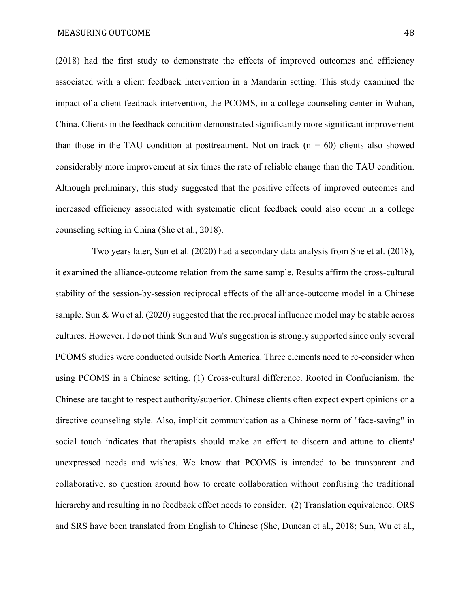(2018) had the first study to demonstrate the effects of improved outcomes and efficiency associated with a client feedback intervention in a Mandarin setting. This study examined the impact of a client feedback intervention, the PCOMS, in a college counseling center in Wuhan, China. Clients in the feedback condition demonstrated significantly more significant improvement than those in the TAU condition at posttreatment. Not-on-track  $(n = 60)$  clients also showed considerably more improvement at six times the rate of reliable change than the TAU condition. Although preliminary, this study suggested that the positive effects of improved outcomes and increased efficiency associated with systematic client feedback could also occur in a college counseling setting in China (She et al., 2018).

 Two years later, Sun et al. (2020) had a secondary data analysis from She et al. (2018), it examined the alliance-outcome relation from the same sample. Results affirm the cross-cultural stability of the session-by-session reciprocal effects of the alliance-outcome model in a Chinese sample. Sun & Wu et al. (2020) suggested that the reciprocal influence model may be stable across cultures. However, I do not think Sun and Wu's suggestion is strongly supported since only several PCOMS studies were conducted outside North America. Three elements need to re-consider when using PCOMS in a Chinese setting. (1) Cross-cultural difference. Rooted in Confucianism, the Chinese are taught to respect authority/superior. Chinese clients often expect expert opinions or a directive counseling style. Also, implicit communication as a Chinese norm of "face-saving" in social touch indicates that therapists should make an effort to discern and attune to clients' unexpressed needs and wishes. We know that PCOMS is intended to be transparent and collaborative, so question around how to create collaboration without confusing the traditional hierarchy and resulting in no feedback effect needs to consider. (2) Translation equivalence. ORS and SRS have been translated from English to Chinese (She, Duncan et al., 2018; Sun, Wu et al.,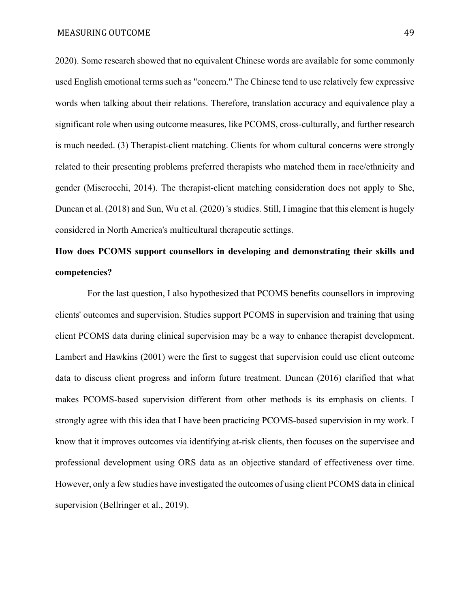2020). Some research showed that no equivalent Chinese words are available for some commonly used English emotional terms such as "concern." The Chinese tend to use relatively few expressive words when talking about their relations. Therefore, translation accuracy and equivalence play a significant role when using outcome measures, like PCOMS, cross-culturally, and further research is much needed. (3) Therapist-client matching. Clients for whom cultural concerns were strongly related to their presenting problems preferred therapists who matched them in race/ethnicity and gender (Miserocchi, 2014). The therapist-client matching consideration does not apply to She, Duncan et al. (2018) and Sun, Wu et al. (2020) 's studies. Still, I imagine that this element is hugely considered in North America's multicultural therapeutic settings.

# **How does PCOMS support counsellors in developing and demonstrating their skills and competencies?**

 For the last question, I also hypothesized that PCOMS benefits counsellors in improving clients' outcomes and supervision. Studies support PCOMS in supervision and training that using client PCOMS data during clinical supervision may be a way to enhance therapist development. Lambert and Hawkins (2001) were the first to suggest that supervision could use client outcome data to discuss client progress and inform future treatment. Duncan (2016) clarified that what makes PCOMS-based supervision different from other methods is its emphasis on clients. I strongly agree with this idea that I have been practicing PCOMS-based supervision in my work. I know that it improves outcomes via identifying at-risk clients, then focuses on the supervisee and professional development using ORS data as an objective standard of effectiveness over time. However, only a few studies have investigated the outcomes of using client PCOMS data in clinical supervision (Bellringer et al., 2019).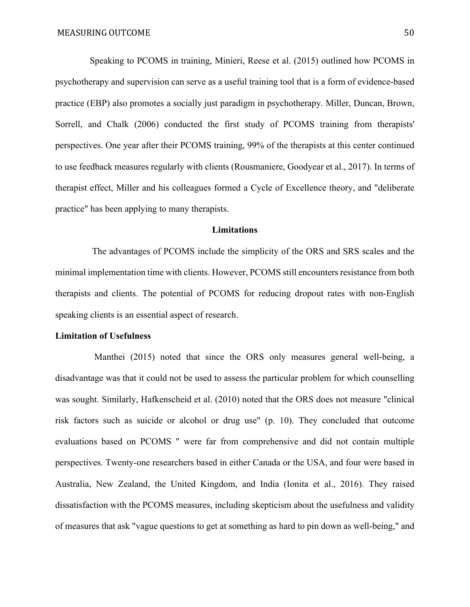Speaking to PCOMS in training, Minieri, Reese et al. (2015) outlined how PCOMS in psychotherapy and supervision can serve as a useful training tool that is a form of evidence-based practice (EBP) also promotes a socially just paradigm in psychotherapy. Miller, Duncan, Brown, Sorrell, and Chalk (2006) conducted the first study of PCOMS training from therapists' perspectives. One year after their PCOMS training, 99% of the therapists at this center continued to use feedback measures regularly with clients (Rousmaniere, Goodyear et al., 2017). In terms of therapist effect, Miller and his colleagues formed a Cycle of Excellence theory, and "deliberate practice" has been applying to many therapists.

#### **Limitations**

 The advantages of PCOMS include the simplicity of the ORS and SRS scales and the minimal implementation time with clients. However, PCOMS still encounters resistance from both therapists and clients. The potential of PCOMS for reducing dropout rates with non-English speaking clients is an essential aspect of research.

#### **Limitation of Usefulness**

 Manthei (2015) noted that since the ORS only measures general well-being, a disadvantage was that it could not be used to assess the particular problem for which counselling was sought. Similarly, Hafkenscheid et al. (2010) noted that the ORS does not measure "clinical risk factors such as suicide or alcohol or drug use" (p. 10). They concluded that outcome evaluations based on PCOMS " were far from comprehensive and did not contain multiple perspectives. Twenty-one researchers based in either Canada or the USA, and four were based in Australia, New Zealand, the United Kingdom, and India (Ionita et al., 2016). They raised dissatisfaction with the PCOMS measures, including skepticism about the usefulness and validity of measures that ask "vague questions to get at something as hard to pin down as well-being," and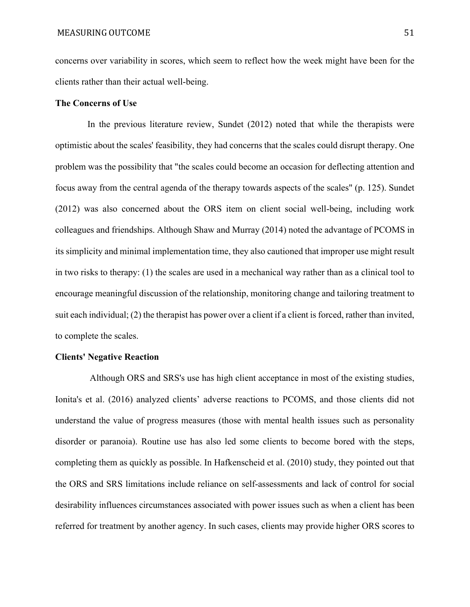concerns over variability in scores, which seem to reflect how the week might have been for the clients rather than their actual well-being.

#### **The Concerns of Use**

 In the previous literature review, Sundet (2012) noted that while the therapists were optimistic about the scales' feasibility, they had concerns that the scales could disrupt therapy. One problem was the possibility that "the scales could become an occasion for deflecting attention and focus away from the central agenda of the therapy towards aspects of the scales" (p. 125). Sundet (2012) was also concerned about the ORS item on client social well-being, including work colleagues and friendships. Although Shaw and Murray (2014) noted the advantage of PCOMS in its simplicity and minimal implementation time, they also cautioned that improper use might result in two risks to therapy: (1) the scales are used in a mechanical way rather than as a clinical tool to encourage meaningful discussion of the relationship, monitoring change and tailoring treatment to suit each individual; (2) the therapist has power over a client if a client is forced, rather than invited, to complete the scales.

#### **Clients' Negative Reaction**

 Although ORS and SRS's use has high client acceptance in most of the existing studies, Ionita's et al. (2016) analyzed clients' adverse reactions to PCOMS, and those clients did not understand the value of progress measures (those with mental health issues such as personality disorder or paranoia). Routine use has also led some clients to become bored with the steps, completing them as quickly as possible. In Hafkenscheid et al. (2010) study, they pointed out that the ORS and SRS limitations include reliance on self-assessments and lack of control for social desirability influences circumstances associated with power issues such as when a client has been referred for treatment by another agency. In such cases, clients may provide higher ORS scores to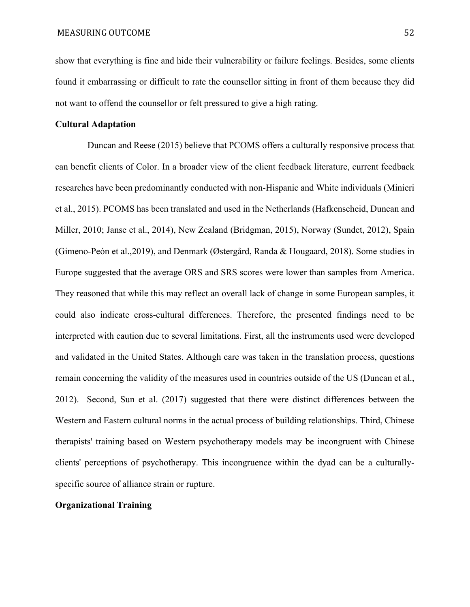show that everything is fine and hide their vulnerability or failure feelings. Besides, some clients found it embarrassing or difficult to rate the counsellor sitting in front of them because they did not want to offend the counsellor or felt pressured to give a high rating.

#### **Cultural Adaptation**

 Duncan and Reese (2015) believe that PCOMS offers a culturally responsive process that can benefit clients of Color. In a broader view of the client feedback literature, current feedback researches have been predominantly conducted with non-Hispanic and White individuals (Minieri et al., 2015). PCOMS has been translated and used in the Netherlands (Hafkenscheid, Duncan and Miller, 2010; Janse et al., 2014), New Zealand (Bridgman, 2015), Norway (Sundet, 2012), Spain (Gimeno-Peón et al.,2019), and Denmark (Østergård, Randa & Hougaard, 2018). Some studies in Europe suggested that the average ORS and SRS scores were lower than samples from America. They reasoned that while this may reflect an overall lack of change in some European samples, it could also indicate cross-cultural differences. Therefore, the presented findings need to be interpreted with caution due to several limitations. First, all the instruments used were developed and validated in the United States. Although care was taken in the translation process, questions remain concerning the validity of the measures used in countries outside of the US (Duncan et al., 2012). Second, Sun et al. (2017) suggested that there were distinct differences between the Western and Eastern cultural norms in the actual process of building relationships. Third, Chinese therapists' training based on Western psychotherapy models may be incongruent with Chinese clients' perceptions of psychotherapy. This incongruence within the dyad can be a culturallyspecific source of alliance strain or rupture.

#### **Organizational Training**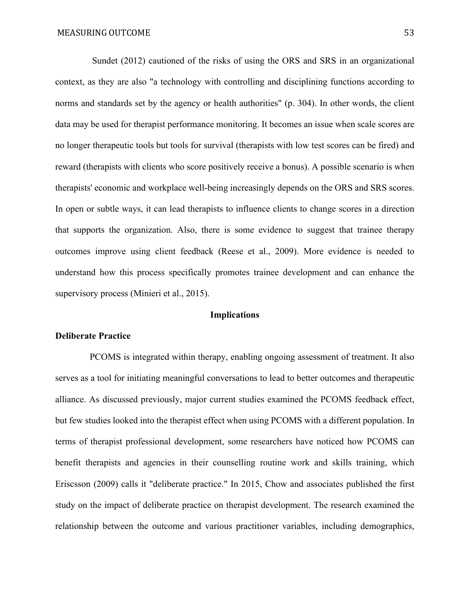Sundet (2012) cautioned of the risks of using the ORS and SRS in an organizational context, as they are also "a technology with controlling and disciplining functions according to norms and standards set by the agency or health authorities" (p. 304). In other words, the client data may be used for therapist performance monitoring. It becomes an issue when scale scores are no longer therapeutic tools but tools for survival (therapists with low test scores can be fired) and reward (therapists with clients who score positively receive a bonus). A possible scenario is when therapists' economic and workplace well-being increasingly depends on the ORS and SRS scores. In open or subtle ways, it can lead therapists to influence clients to change scores in a direction that supports the organization. Also, there is some evidence to suggest that trainee therapy outcomes improve using client feedback (Reese et al., 2009). More evidence is needed to understand how this process specifically promotes trainee development and can enhance the supervisory process (Minieri et al., 2015).

#### **Implications**

#### **Deliberate Practice**

 PCOMS is integrated within therapy, enabling ongoing assessment of treatment. It also serves as a tool for initiating meaningful conversations to lead to better outcomes and therapeutic alliance. As discussed previously, major current studies examined the PCOMS feedback effect, but few studies looked into the therapist effect when using PCOMS with a different population. In terms of therapist professional development, some researchers have noticed how PCOMS can benefit therapists and agencies in their counselling routine work and skills training, which Eriscsson (2009) calls it "deliberate practice." In 2015, Chow and associates published the first study on the impact of deliberate practice on therapist development. The research examined the relationship between the outcome and various practitioner variables, including demographics,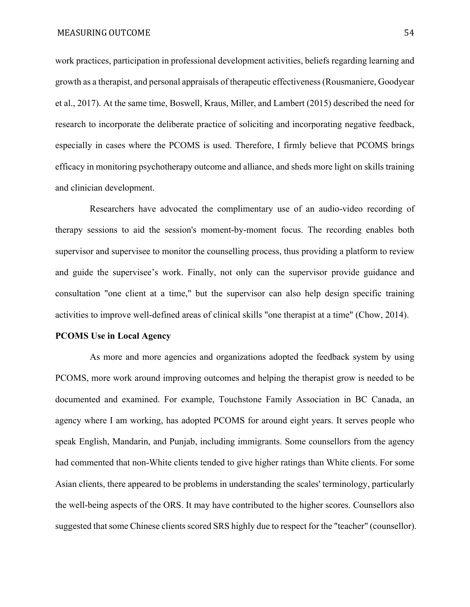work practices, participation in professional development activities, beliefs regarding learning and growth as a therapist, and personal appraisals of therapeutic effectiveness (Rousmaniere, Goodyear et al., 2017). At the same time, Boswell, Kraus, Miller, and Lambert (2015) described the need for research to incorporate the deliberate practice of soliciting and incorporating negative feedback, especially in cases where the PCOMS is used. Therefore, I firmly believe that PCOMS brings efficacy in monitoring psychotherapy outcome and alliance, and sheds more light on skills training and clinician development.

 Researchers have advocated the complimentary use of an audio-video recording of therapy sessions to aid the session's moment-by-moment focus. The recording enables both supervisor and supervisee to monitor the counselling process, thus providing a platform to review and guide the supervisee's work. Finally, not only can the supervisor provide guidance and consultation "one client at a time," but the supervisor can also help design specific training activities to improve well-defined areas of clinical skills "one therapist at a time" (Chow, 2014).

#### **PCOMS Use in Local Agency**

 As more and more agencies and organizations adopted the feedback system by using PCOMS, more work around improving outcomes and helping the therapist grow is needed to be documented and examined. For example, Touchstone Family Association in BC Canada, an agency where I am working, has adopted PCOMS for around eight years. It serves people who speak English, Mandarin, and Punjab, including immigrants. Some counsellors from the agency had commented that non-White clients tended to give higher ratings than White clients. For some Asian clients, there appeared to be problems in understanding the scales' terminology, particularly the well-being aspects of the ORS. It may have contributed to the higher scores. Counsellors also suggested that some Chinese clients scored SRS highly due to respect for the "teacher" (counsellor).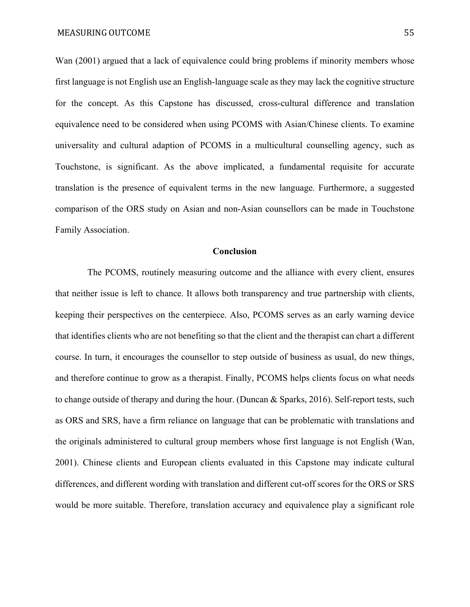Wan (2001) argued that a lack of equivalence could bring problems if minority members whose first language is not English use an English-language scale as they may lack the cognitive structure for the concept. As this Capstone has discussed, cross-cultural difference and translation equivalence need to be considered when using PCOMS with Asian/Chinese clients. To examine universality and cultural adaption of PCOMS in a multicultural counselling agency, such as Touchstone, is significant. As the above implicated, a fundamental requisite for accurate translation is the presence of equivalent terms in the new language. Furthermore, a suggested comparison of the ORS study on Asian and non-Asian counsellors can be made in Touchstone Family Association.

#### **Conclusion**

 The PCOMS, routinely measuring outcome and the alliance with every client, ensures that neither issue is left to chance. It allows both transparency and true partnership with clients, keeping their perspectives on the centerpiece. Also, PCOMS serves as an early warning device that identifies clients who are not benefiting so that the client and the therapist can chart a different course. In turn, it encourages the counsellor to step outside of business as usual, do new things, and therefore continue to grow as a therapist. Finally, PCOMS helps clients focus on what needs to change outside of therapy and during the hour. (Duncan & Sparks, 2016). Self-report tests, such as ORS and SRS, have a firm reliance on language that can be problematic with translations and the originals administered to cultural group members whose first language is not English (Wan, 2001). Chinese clients and European clients evaluated in this Capstone may indicate cultural differences, and different wording with translation and different cut-off scores for the ORS or SRS would be more suitable. Therefore, translation accuracy and equivalence play a significant role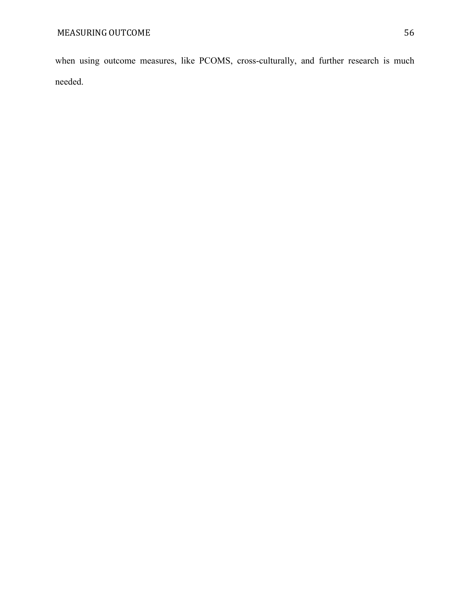when using outcome measures, like PCOMS, cross-culturally, and further research is much needed.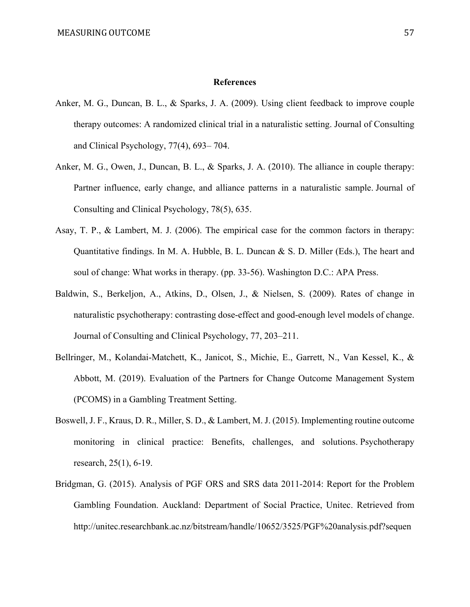#### **References**

- Anker, M. G., Duncan, B. L., & Sparks, J. A. (2009). Using client feedback to improve couple therapy outcomes: A randomized clinical trial in a naturalistic setting. Journal of Consulting and Clinical Psychology, 77(4), 693– 704.
- Anker, M. G., Owen, J., Duncan, B. L., & Sparks, J. A. (2010). The alliance in couple therapy: Partner influence, early change, and alliance patterns in a naturalistic sample. Journal of Consulting and Clinical Psychology, 78(5), 635.
- Asay, T. P., & Lambert, M. J. (2006). The empirical case for the common factors in therapy: Quantitative findings. In M. A. Hubble, B. L. Duncan & S. D. Miller (Eds.), The heart and soul of change: What works in therapy. (pp. 33-56). Washington D.C.: APA Press.
- Baldwin, S., Berkeljon, A., Atkins, D., Olsen, J., & Nielsen, S. (2009). Rates of change in naturalistic psychotherapy: contrasting dose-effect and good-enough level models of change. Journal of Consulting and Clinical Psychology, 77, 203–211.
- Bellringer, M., Kolandai-Matchett, K., Janicot, S., Michie, E., Garrett, N., Van Kessel, K., & Abbott, M. (2019). Evaluation of the Partners for Change Outcome Management System (PCOMS) in a Gambling Treatment Setting.
- Boswell, J. F., Kraus, D. R., Miller, S. D., & Lambert, M. J. (2015). Implementing routine outcome monitoring in clinical practice: Benefits, challenges, and solutions. Psychotherapy research, 25(1), 6-19.
- Bridgman, G. (2015). Analysis of PGF ORS and SRS data 2011-2014: Report for the Problem Gambling Foundation. Auckland: Department of Social Practice, Unitec. Retrieved from http://unitec.researchbank.ac.nz/bitstream/handle/10652/3525/PGF%20analysis.pdf?sequen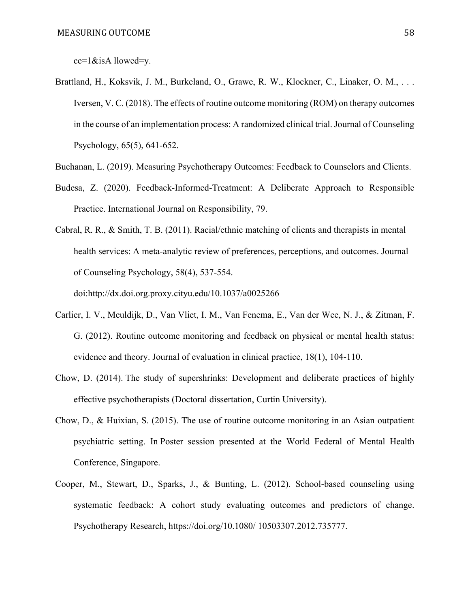ce=1&isA llowed=y.

- Brattland, H., Koksvik, J. M., Burkeland, O., Grawe, R. W., Klockner, C., Linaker, O. M., ... Iversen, V. C. (2018). The effects of routine outcome monitoring (ROM) on therapy outcomes in the course of an implementation process: A randomized clinical trial. Journal of Counseling Psychology, 65(5), 641-652.
- Buchanan, L. (2019). Measuring Psychotherapy Outcomes: Feedback to Counselors and Clients.
- Budesa, Z. (2020). Feedback-Informed-Treatment: A Deliberate Approach to Responsible Practice. International Journal on Responsibility, 79.

Cabral, R. R., & Smith, T. B. (2011). Racial/ethnic matching of clients and therapists in mental health services: A meta-analytic review of preferences, perceptions, and outcomes. Journal of Counseling Psychology, 58(4), 537-554.

doi:http://dx.doi.org.proxy.cityu.edu/10.1037/a0025266

- Carlier, I. V., Meuldijk, D., Van Vliet, I. M., Van Fenema, E., Van der Wee, N. J., & Zitman, F. G. (2012). Routine outcome monitoring and feedback on physical or mental health status: evidence and theory. Journal of evaluation in clinical practice, 18(1), 104-110.
- Chow, D. (2014). The study of supershrinks: Development and deliberate practices of highly effective psychotherapists (Doctoral dissertation, Curtin University).
- Chow, D., & Huixian, S. (2015). The use of routine outcome monitoring in an Asian outpatient psychiatric setting. In Poster session presented at the World Federal of Mental Health Conference, Singapore.
- Cooper, M., Stewart, D., Sparks, J., & Bunting, L. (2012). School-based counseling using systematic feedback: A cohort study evaluating outcomes and predictors of change. Psychotherapy Research, https://doi.org/10.1080/ 10503307.2012.735777.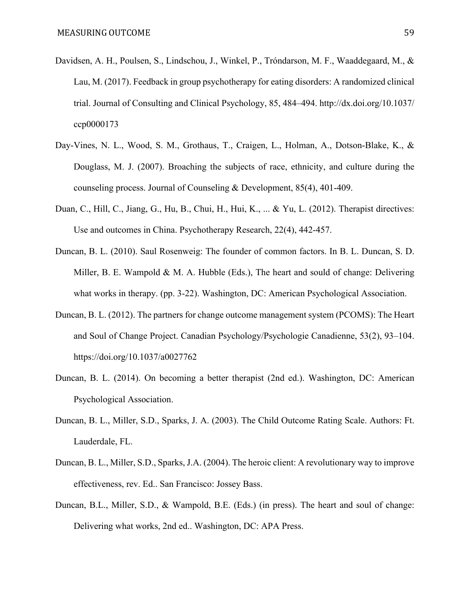- Davidsen, A. H., Poulsen, S., Lindschou, J., Winkel, P., Tróndarson, M. F., Waaddegaard, M., & Lau, M. (2017). Feedback in group psychotherapy for eating disorders: A randomized clinical trial. Journal of Consulting and Clinical Psychology, 85, 484–494. http://dx.doi.org/10.1037/ ccp0000173
- Day‐Vines, N. L., Wood, S. M., Grothaus, T., Craigen, L., Holman, A., Dotson‐Blake, K., & Douglass, M. J. (2007). Broaching the subjects of race, ethnicity, and culture during the counseling process. Journal of Counseling & Development, 85(4), 401-409.
- Duan, C., Hill, C., Jiang, G., Hu, B., Chui, H., Hui, K., ... & Yu, L. (2012). Therapist directives: Use and outcomes in China. Psychotherapy Research, 22(4), 442-457.
- Duncan, B. L. (2010). Saul Rosenweig: The founder of common factors. In B. L. Duncan, S. D. Miller, B. E. Wampold & M. A. Hubble (Eds.), The heart and sould of change: Delivering what works in therapy. (pp. 3-22). Washington, DC: American Psychological Association.
- Duncan, B. L. (2012). The partners for change outcome management system (PCOMS): The Heart and Soul of Change Project. Canadian Psychology/Psychologie Canadienne, 53(2), 93–104. https://doi.org/10.1037/a0027762
- Duncan, B. L. (2014). On becoming a better therapist (2nd ed.). Washington, DC: American Psychological Association.
- Duncan, B. L., Miller, S.D., Sparks, J. A. (2003). The Child Outcome Rating Scale. Authors: Ft. Lauderdale, FL.
- Duncan, B. L., Miller, S.D., Sparks, J.A. (2004). The heroic client: A revolutionary way to improve effectiveness, rev. Ed.. San Francisco: Jossey Bass.
- Duncan, B.L., Miller, S.D., & Wampold, B.E. (Eds.) (in press). The heart and soul of change: Delivering what works, 2nd ed.. Washington, DC: APA Press.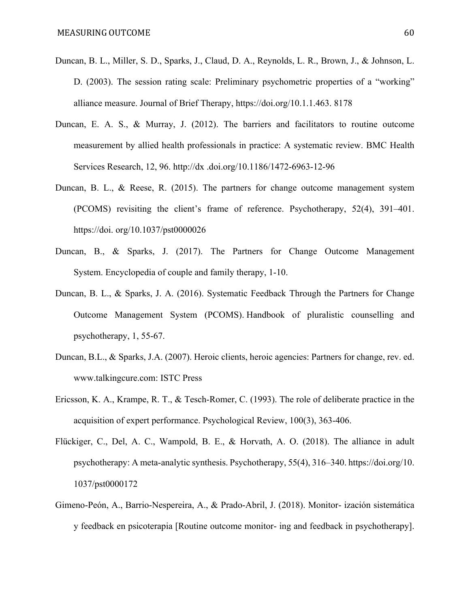- Duncan, B. L., Miller, S. D., Sparks, J., Claud, D. A., Reynolds, L. R., Brown, J., & Johnson, L. D. (2003). The session rating scale: Preliminary psychometric properties of a "working" alliance measure. Journal of Brief Therapy, https://doi.org/10.1.1.463. 8178
- Duncan, E. A. S., & Murray, J. (2012). The barriers and facilitators to routine outcome measurement by allied health professionals in practice: A systematic review. BMC Health Services Research, 12, 96. http://dx .doi.org/10.1186/1472-6963-12-96
- Duncan, B. L., & Reese, R. (2015). The partners for change outcome management system (PCOMS) revisiting the client's frame of reference. Psychotherapy, 52(4), 391–401. https://doi. org/10.1037/pst0000026
- Duncan, B., & Sparks, J. (2017). The Partners for Change Outcome Management System. Encyclopedia of couple and family therapy, 1-10.
- Duncan, B. L., & Sparks, J. A. (2016). Systematic Feedback Through the Partners for Change Outcome Management System (PCOMS). Handbook of pluralistic counselling and psychotherapy, 1, 55-67.
- Duncan, B.L., & Sparks, J.A. (2007). Heroic clients, heroic agencies: Partners for change, rev. ed. www.talkingcure.com: ISTC Press
- Ericsson, K. A., Krampe, R. T., & Tesch-Romer, C. (1993). The role of deliberate practice in the acquisition of expert performance. Psychological Review, 100(3), 363-406.
- Flückiger, C., Del, A. C., Wampold, B. E., & Horvath, A. O. (2018). The alliance in adult psychotherapy: A meta-analytic synthesis. Psychotherapy, 55(4), 316–340. https://doi.org/10. 1037/pst0000172
- Gimeno-Peón, A., Barrio-Nespereira, A., & Prado-Abril, J. (2018). Monitor- ización sistemática y feedback en psicoterapia [Routine outcome monitor- ing and feedback in psychotherapy].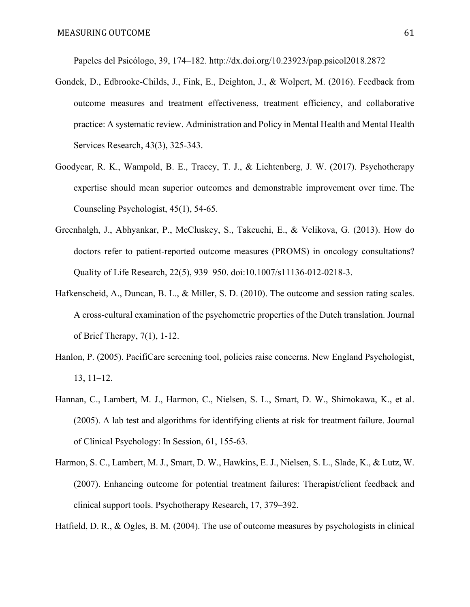Papeles del Psicólogo, 39, 174–182. http://dx.doi.org/10.23923/pap.psicol2018.2872

- Gondek, D., Edbrooke-Childs, J., Fink, E., Deighton, J., & Wolpert, M. (2016). Feedback from outcome measures and treatment effectiveness, treatment efficiency, and collaborative practice: A systematic review. Administration and Policy in Mental Health and Mental Health Services Research, 43(3), 325-343.
- Goodyear, R. K., Wampold, B. E., Tracey, T. J., & Lichtenberg, J. W. (2017). Psychotherapy expertise should mean superior outcomes and demonstrable improvement over time. The Counseling Psychologist, 45(1), 54-65.
- Greenhalgh, J., Abhyankar, P., McCluskey, S., Takeuchi, E., & Velikova, G. (2013). How do doctors refer to patient-reported outcome measures (PROMS) in oncology consultations? Quality of Life Research, 22(5), 939–950. doi:10.1007/s11136-012-0218-3.
- Hafkenscheid, A., Duncan, B. L., & Miller, S. D. (2010). The outcome and session rating scales. A cross-cultural examination of the psychometric properties of the Dutch translation. Journal of Brief Therapy, 7(1), 1-12.
- Hanlon, P. (2005). PacifiCare screening tool, policies raise concerns. New England Psychologist, 13, 11–12.
- Hannan, C., Lambert, M. J., Harmon, C., Nielsen, S. L., Smart, D. W., Shimokawa, K., et al. (2005). A lab test and algorithms for identifying clients at risk for treatment failure. Journal of Clinical Psychology: In Session, 61, 155-63.
- Harmon, S. C., Lambert, M. J., Smart, D. W., Hawkins, E. J., Nielsen, S. L., Slade, K., & Lutz, W. (2007). Enhancing outcome for potential treatment failures: Therapist/client feedback and clinical support tools. Psychotherapy Research, 17, 379–392.

Hatfield, D. R., & Ogles, B. M. (2004). The use of outcome measures by psychologists in clinical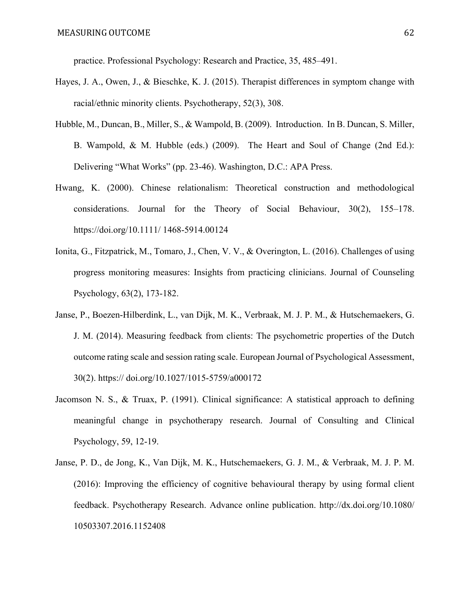practice. Professional Psychology: Research and Practice, 35, 485–491.

- Hayes, J. A., Owen, J., & Bieschke, K. J. (2015). Therapist differences in symptom change with racial/ethnic minority clients. Psychotherapy, 52(3), 308.
- Hubble, M., Duncan, B., Miller, S., & Wampold, B. (2009). Introduction. In B. Duncan, S. Miller, B. Wampold, & M. Hubble (eds.) (2009). The Heart and Soul of Change (2nd Ed.): Delivering "What Works" (pp. 23-46). Washington, D.C.: APA Press.
- Hwang, K. (2000). Chinese relationalism: Theoretical construction and methodological considerations. Journal for the Theory of Social Behaviour, 30(2), 155–178. https://doi.org/10.1111/ 1468-5914.00124
- Ionita, G., Fitzpatrick, M., Tomaro, J., Chen, V. V., & Overington, L. (2016). Challenges of using progress monitoring measures: Insights from practicing clinicians. Journal of Counseling Psychology, 63(2), 173-182.
- Janse, P., Boezen-Hilberdink, L., van Dijk, M. K., Verbraak, M. J. P. M., & Hutschemaekers, G. J. M. (2014). Measuring feedback from clients: The psychometric properties of the Dutch outcome rating scale and session rating scale. European Journal of Psychological Assessment, 30(2). https:// doi.org/10.1027/1015-5759/a000172
- Jacomson N. S., & Truax, P. (1991). Clinical significance: A statistical approach to defining meaningful change in psychotherapy research. Journal of Consulting and Clinical Psychology, 59, 12-19.
- Janse, P. D., de Jong, K., Van Dijk, M. K., Hutschemaekers, G. J. M., & Verbraak, M. J. P. M. (2016): Improving the efficiency of cognitive behavioural therapy by using formal client feedback. Psychotherapy Research. Advance online publication. http://dx.doi.org/10.1080/ 10503307.2016.1152408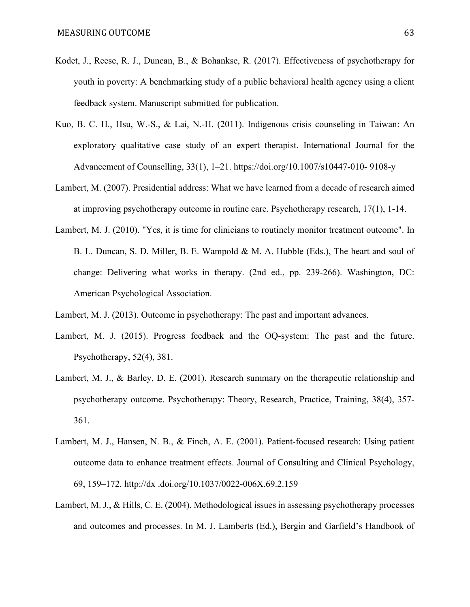- Kodet, J., Reese, R. J., Duncan, B., & Bohankse, R. (2017). Effectiveness of psychotherapy for youth in poverty: A benchmarking study of a public behavioral health agency using a client feedback system. Manuscript submitted for publication.
- Kuo, B. C. H., Hsu, W.-S., & Lai, N.-H. (2011). Indigenous crisis counseling in Taiwan: An exploratory qualitative case study of an expert therapist. International Journal for the Advancement of Counselling, 33(1), 1–21. https://doi.org/10.1007/s10447-010- 9108-y
- Lambert, M. (2007). Presidential address: What we have learned from a decade of research aimed at improving psychotherapy outcome in routine care. Psychotherapy research, 17(1), 1-14.
- Lambert, M. J. (2010). "Yes, it is time for clinicians to routinely monitor treatment outcome". In B. L. Duncan, S. D. Miller, B. E. Wampold & M. A. Hubble (Eds.), The heart and soul of change: Delivering what works in therapy. (2nd ed., pp. 239-266). Washington, DC: American Psychological Association.

Lambert, M. J. (2013). Outcome in psychotherapy: The past and important advances.

- Lambert, M. J. (2015). Progress feedback and the OQ-system: The past and the future. Psychotherapy, 52(4), 381.
- Lambert, M. J., & Barley, D. E. (2001). Research summary on the therapeutic relationship and psychotherapy outcome. Psychotherapy: Theory, Research, Practice, Training, 38(4), 357- 361.
- Lambert, M. J., Hansen, N. B., & Finch, A. E. (2001). Patient-focused research: Using patient outcome data to enhance treatment effects. Journal of Consulting and Clinical Psychology, 69, 159–172. http://dx .doi.org/10.1037/0022-006X.69.2.159
- Lambert, M. J., & Hills, C. E. (2004). Methodological issues in assessing psychotherapy processes and outcomes and processes. In M. J. Lamberts (Ed.), Bergin and Garfield's Handbook of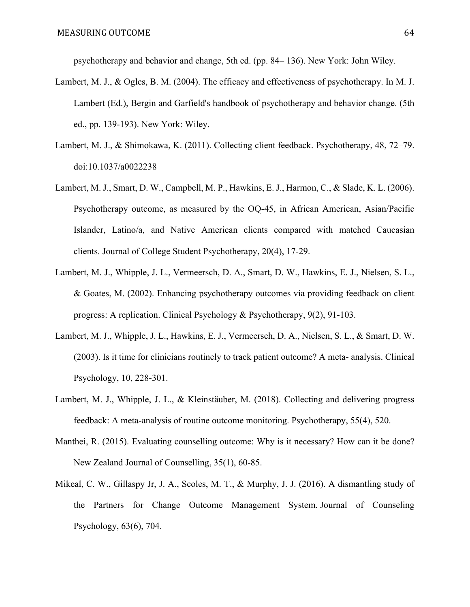psychotherapy and behavior and change, 5th ed. (pp. 84– 136). New York: John Wiley.

- Lambert, M. J., & Ogles, B. M. (2004). The efficacy and effectiveness of psychotherapy. In M. J. Lambert (Ed.), Bergin and Garfield's handbook of psychotherapy and behavior change. (5th ed., pp. 139-193). New York: Wiley.
- Lambert, M. J., & Shimokawa, K. (2011). Collecting client feedback. Psychotherapy, 48, 72–79. doi:10.1037/a0022238
- Lambert, M. J., Smart, D. W., Campbell, M. P., Hawkins, E. J., Harmon, C., & Slade, K. L. (2006). Psychotherapy outcome, as measured by the OQ-45, in African American, Asian/Pacific Islander, Latino/a, and Native American clients compared with matched Caucasian clients. Journal of College Student Psychotherapy, 20(4), 17-29.
- Lambert, M. J., Whipple, J. L., Vermeersch, D. A., Smart, D. W., Hawkins, E. J., Nielsen, S. L., & Goates, M. (2002). Enhancing psychotherapy outcomes via providing feedback on client progress: A replication. Clinical Psychology & Psychotherapy, 9(2), 91-103.
- Lambert, M. J., Whipple, J. L., Hawkins, E. J., Vermeersch, D. A., Nielsen, S. L., & Smart, D. W. (2003). Is it time for clinicians routinely to track patient outcome? A meta- analysis. Clinical Psychology, 10, 228-301.
- Lambert, M. J., Whipple, J. L., & Kleinstäuber, M. (2018). Collecting and delivering progress feedback: A meta-analysis of routine outcome monitoring. Psychotherapy, 55(4), 520.
- Manthei, R. (2015). Evaluating counselling outcome: Why is it necessary? How can it be done? New Zealand Journal of Counselling, 35(1), 60-85.
- Mikeal, C. W., Gillaspy Jr, J. A., Scoles, M. T., & Murphy, J. J. (2016). A dismantling study of the Partners for Change Outcome Management System. Journal of Counseling Psychology, 63(6), 704.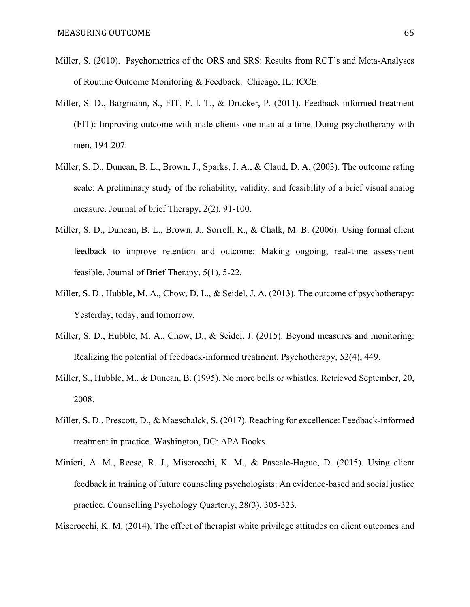- Miller, S. (2010). Psychometrics of the ORS and SRS: Results from RCT's and Meta-Analyses of Routine Outcome Monitoring & Feedback. Chicago, IL: ICCE.
- Miller, S. D., Bargmann, S., FIT, F. I. T., & Drucker, P. (2011). Feedback informed treatment (FIT): Improving outcome with male clients one man at a time. Doing psychotherapy with men, 194-207.
- Miller, S. D., Duncan, B. L., Brown, J., Sparks, J. A., & Claud, D. A. (2003). The outcome rating scale: A preliminary study of the reliability, validity, and feasibility of a brief visual analog measure. Journal of brief Therapy, 2(2), 91-100.
- Miller, S. D., Duncan, B. L., Brown, J., Sorrell, R., & Chalk, M. B. (2006). Using formal client feedback to improve retention and outcome: Making ongoing, real-time assessment feasible. Journal of Brief Therapy, 5(1), 5-22.
- Miller, S. D., Hubble, M. A., Chow, D. L., & Seidel, J. A. (2013). The outcome of psychotherapy: Yesterday, today, and tomorrow.
- Miller, S. D., Hubble, M. A., Chow, D., & Seidel, J. (2015). Beyond measures and monitoring: Realizing the potential of feedback-informed treatment. Psychotherapy, 52(4), 449.
- Miller, S., Hubble, M., & Duncan, B. (1995). No more bells or whistles. Retrieved September, 20, 2008.
- Miller, S. D., Prescott, D., & Maeschalck, S. (2017). Reaching for excellence: Feedback-informed treatment in practice. Washington, DC: APA Books.
- Minieri, A. M., Reese, R. J., Miserocchi, K. M., & Pascale-Hague, D. (2015). Using client feedback in training of future counseling psychologists: An evidence-based and social justice practice. Counselling Psychology Quarterly, 28(3), 305-323.

Miserocchi, K. M. (2014). The effect of therapist white privilege attitudes on client outcomes and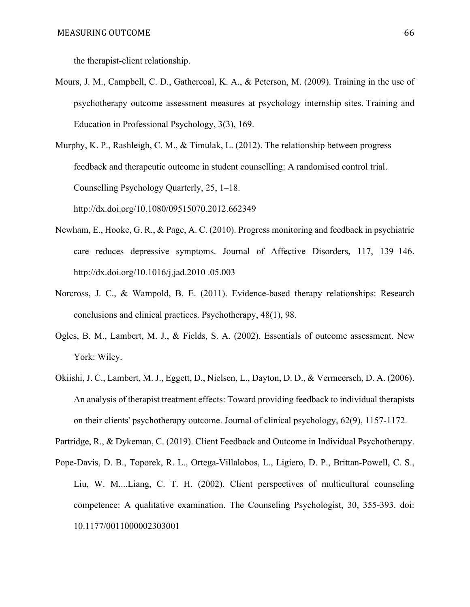the therapist-client relationship.

Mours, J. M., Campbell, C. D., Gathercoal, K. A., & Peterson, M. (2009). Training in the use of psychotherapy outcome assessment measures at psychology internship sites. Training and Education in Professional Psychology, 3(3), 169.

Murphy, K. P., Rashleigh, C. M., & Timulak, L. (2012). The relationship between progress feedback and therapeutic outcome in student counselling: A randomised control trial. Counselling Psychology Quarterly, 25, 1–18. http://dx.doi.org/10.1080/09515070.2012.662349

- Newham, E., Hooke, G. R., & Page, A. C. (2010). Progress monitoring and feedback in psychiatric care reduces depressive symptoms. Journal of Affective Disorders, 117, 139–146. http://dx.doi.org/10.1016/j.jad.2010 .05.003
- Norcross, J. C., & Wampold, B. E. (2011). Evidence-based therapy relationships: Research conclusions and clinical practices. Psychotherapy, 48(1), 98.
- Ogles, B. M., Lambert, M. J., & Fields, S. A. (2002). Essentials of outcome assessment. New York: Wiley.
- Okiishi, J. C., Lambert, M. J., Eggett, D., Nielsen, L., Dayton, D. D., & Vermeersch, D. A. (2006). An analysis of therapist treatment effects: Toward providing feedback to individual therapists on their clients' psychotherapy outcome. Journal of clinical psychology, 62(9), 1157-1172.

Partridge, R., & Dykeman, C. (2019). Client Feedback and Outcome in Individual Psychotherapy.

Pope-Davis, D. B., Toporek, R. L., Ortega-Villalobos, L., Ligiero, D. P., Brittan-Powell, C. S., Liu, W. M....Liang, C. T. H. (2002). Client perspectives of multicultural counseling competence: A qualitative examination. The Counseling Psychologist, 30, 355-393. doi: 10.1177/0011000002303001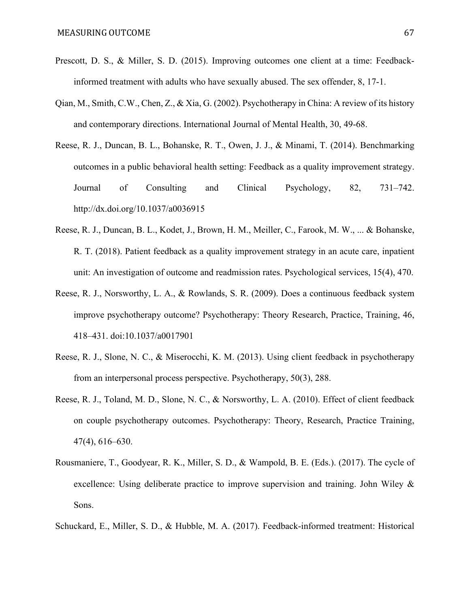- Prescott, D. S., & Miller, S. D. (2015). Improving outcomes one client at a time: Feedbackinformed treatment with adults who have sexually abused. The sex offender, 8, 17-1.
- Qian, M., Smith, C.W., Chen, Z., & Xia, G. (2002). Psychotherapy in China: A review of its history and contemporary directions. International Journal of Mental Health, 30, 49-68.
- Reese, R. J., Duncan, B. L., Bohanske, R. T., Owen, J. J., & Minami, T. (2014). Benchmarking outcomes in a public behavioral health setting: Feedback as a quality improvement strategy. Journal of Consulting and Clinical Psychology, 82, 731–742. http://dx.doi.org/10.1037/a0036915
- Reese, R. J., Duncan, B. L., Kodet, J., Brown, H. M., Meiller, C., Farook, M. W., ... & Bohanske, R. T. (2018). Patient feedback as a quality improvement strategy in an acute care, inpatient unit: An investigation of outcome and readmission rates. Psychological services, 15(4), 470.
- Reese, R. J., Norsworthy, L. A., & Rowlands, S. R. (2009). Does a continuous feedback system improve psychotherapy outcome? Psychotherapy: Theory Research, Practice, Training, 46, 418–431. doi:10.1037/a0017901
- Reese, R. J., Slone, N. C., & Miserocchi, K. M. (2013). Using client feedback in psychotherapy from an interpersonal process perspective. Psychotherapy, 50(3), 288.
- Reese, R. J., Toland, M. D., Slone, N. C., & Norsworthy, L. A. (2010). Effect of client feedback on couple psychotherapy outcomes. Psychotherapy: Theory, Research, Practice Training, 47(4), 616–630.
- Rousmaniere, T., Goodyear, R. K., Miller, S. D., & Wampold, B. E. (Eds.). (2017). The cycle of excellence: Using deliberate practice to improve supervision and training. John Wiley  $\&$ Sons.

Schuckard, E., Miller, S. D., & Hubble, M. A. (2017). Feedback-informed treatment: Historical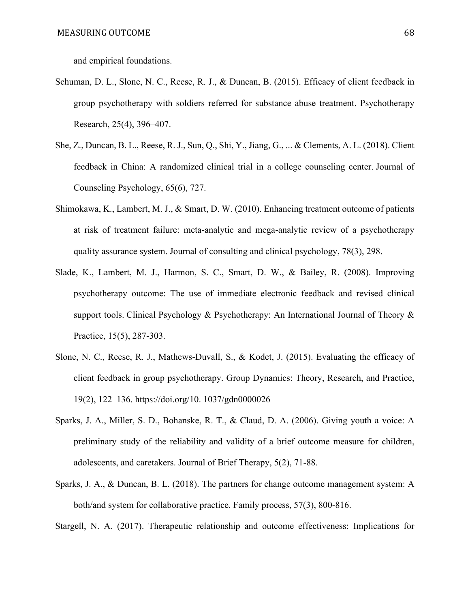and empirical foundations.

- Schuman, D. L., Slone, N. C., Reese, R. J., & Duncan, B. (2015). Efficacy of client feedback in group psychotherapy with soldiers referred for substance abuse treatment. Psychotherapy Research, 25(4), 396–407.
- She, Z., Duncan, B. L., Reese, R. J., Sun, Q., Shi, Y., Jiang, G., ... & Clements, A. L. (2018). Client feedback in China: A randomized clinical trial in a college counseling center. Journal of Counseling Psychology, 65(6), 727.
- Shimokawa, K., Lambert, M. J., & Smart, D. W. (2010). Enhancing treatment outcome of patients at risk of treatment failure: meta-analytic and mega-analytic review of a psychotherapy quality assurance system. Journal of consulting and clinical psychology, 78(3), 298.
- Slade, K., Lambert, M. J., Harmon, S. C., Smart, D. W., & Bailey, R. (2008). Improving psychotherapy outcome: The use of immediate electronic feedback and revised clinical support tools. Clinical Psychology & Psychotherapy: An International Journal of Theory & Practice, 15(5), 287-303.
- Slone, N. C., Reese, R. J., Mathews-Duvall, S., & Kodet, J. (2015). Evaluating the efficacy of client feedback in group psychotherapy. Group Dynamics: Theory, Research, and Practice, 19(2), 122–136. https://doi.org/10. 1037/gdn0000026
- Sparks, J. A., Miller, S. D., Bohanske, R. T., & Claud, D. A. (2006). Giving youth a voice: A preliminary study of the reliability and validity of a brief outcome measure for children, adolescents, and caretakers. Journal of Brief Therapy, 5(2), 71-88.
- Sparks, J. A., & Duncan, B. L. (2018). The partners for change outcome management system: A both/and system for collaborative practice. Family process, 57(3), 800-816.

Stargell, N. A. (2017). Therapeutic relationship and outcome effectiveness: Implications for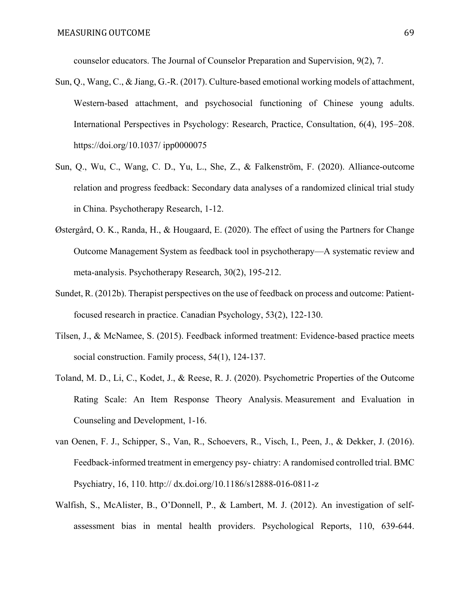counselor educators. The Journal of Counselor Preparation and Supervision, 9(2), 7.

- Sun, Q., Wang, C., & Jiang, G.-R. (2017). Culture-based emotional working models of attachment, Western-based attachment, and psychosocial functioning of Chinese young adults. International Perspectives in Psychology: Research, Practice, Consultation, 6(4), 195–208. https://doi.org/10.1037/ ipp0000075
- Sun, Q., Wu, C., Wang, C. D., Yu, L., She, Z., & Falkenström, F. (2020). Alliance-outcome relation and progress feedback: Secondary data analyses of a randomized clinical trial study in China. Psychotherapy Research, 1-12.
- Østergård, O. K., Randa, H., & Hougaard, E. (2020). The effect of using the Partners for Change Outcome Management System as feedback tool in psychotherapy—A systematic review and meta-analysis. Psychotherapy Research, 30(2), 195-212.
- Sundet, R. (2012b). Therapist perspectives on the use of feedback on process and outcome: Patientfocused research in practice. Canadian Psychology, 53(2), 122-130.
- Tilsen, J., & McNamee, S. (2015). Feedback informed treatment: Evidence‐based practice meets social construction. Family process, 54(1), 124-137.
- Toland, M. D., Li, C., Kodet, J., & Reese, R. J. (2020). Psychometric Properties of the Outcome Rating Scale: An Item Response Theory Analysis. Measurement and Evaluation in Counseling and Development, 1-16.
- van Oenen, F. J., Schipper, S., Van, R., Schoevers, R., Visch, I., Peen, J., & Dekker, J. (2016). Feedback-informed treatment in emergency psy- chiatry: A randomised controlled trial. BMC Psychiatry, 16, 110. http:// dx.doi.org/10.1186/s12888-016-0811-z
- Walfish, S., McAlister, B., O'Donnell, P., & Lambert, M. J. (2012). An investigation of selfassessment bias in mental health providers. Psychological Reports, 110, 639-644.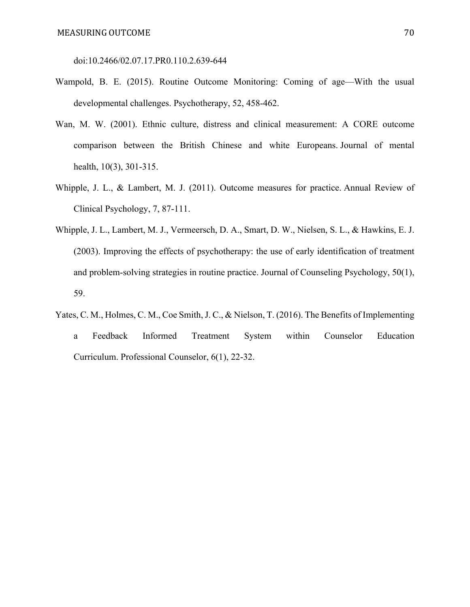doi:10.2466/02.07.17.PR0.110.2.639-644

- Wampold, B. E. (2015). Routine Outcome Monitoring: Coming of age—With the usual developmental challenges. Psychotherapy, 52, 458-462.
- Wan, M. W. (2001). Ethnic culture, distress and clinical measurement: A CORE outcome comparison between the British Chinese and white Europeans. Journal of mental health, 10(3), 301-315.
- Whipple, J. L., & Lambert, M. J. (2011). Outcome measures for practice. Annual Review of Clinical Psychology, 7, 87-111.
- Whipple, J. L., Lambert, M. J., Vermeersch, D. A., Smart, D. W., Nielsen, S. L., & Hawkins, E. J. (2003). Improving the effects of psychotherapy: the use of early identification of treatment and problem-solving strategies in routine practice. Journal of Counseling Psychology, 50(1), 59.
- Yates, C. M., Holmes, C. M., Coe Smith, J. C., & Nielson, T. (2016). The Benefits of Implementing a Feedback Informed Treatment System within Counselor Education Curriculum. Professional Counselor, 6(1), 22-32.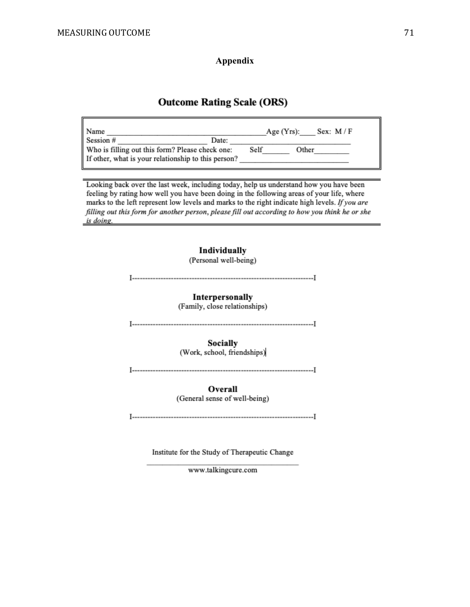**Appendix**

### **Outcome Rating Scale (ORS)**

| Age $(Yrs)$ : | Sex: $M/F$ |
|---------------|------------|
|               |            |
|               | Other      |
|               |            |
|               | Self       |

Looking back over the last week, including today, help us understand how you have been feeling by rating how well you have been doing in the following areas of your life, where marks to the left represent low levels and marks to the right indicate high levels. If you are filling out this form for another person, please fill out according to how you think he or she is doing.



Institute for the Study of Therapeutic Change

www.talkingcure.com